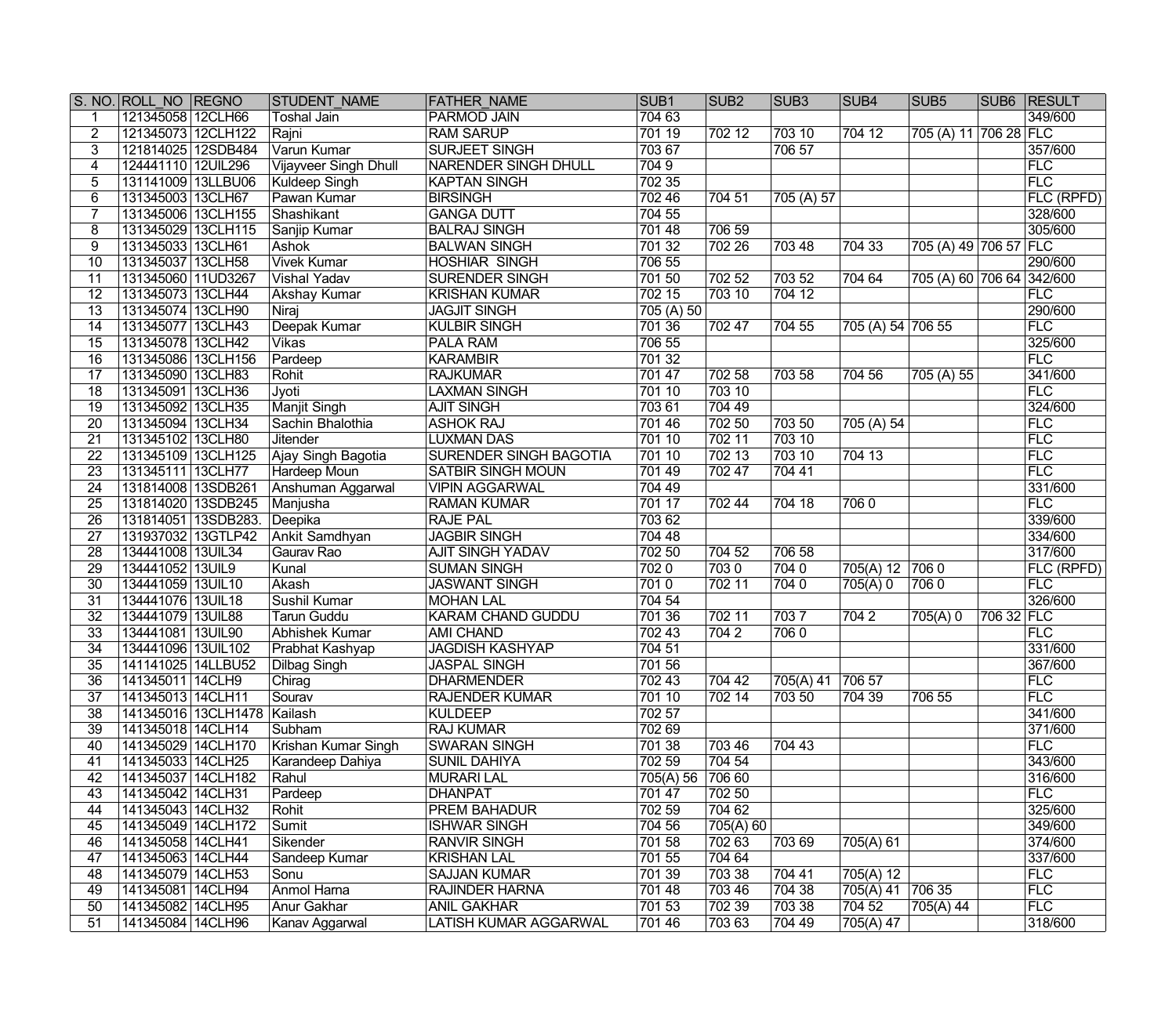|                 | S. NO. ROLL NO REGNO |                     | <b>STUDENT NAME</b>          | <b>FATHER NAME</b>            | SUB <sub>1</sub> | SUB <sub>2</sub> | SUB <sub>3</sub> | SUB <sub>4</sub>  | SUB <sub>5</sub>          |            | <b>SUB6 RESULT</b> |
|-----------------|----------------------|---------------------|------------------------------|-------------------------------|------------------|------------------|------------------|-------------------|---------------------------|------------|--------------------|
|                 | 121345058 12CLH66    |                     | <b>Toshal Jain</b>           | <b>PARMOD JAIN</b>            | 704 63           |                  |                  |                   |                           |            | 349/600            |
| $\overline{2}$  | 121345073 12CLH122   |                     | Rajni                        | <b>RAM SARUP</b>              | 701 19           | 702 12           | 703 10           | $\sqrt{704}$ 12   | 705 (A) 11 706 28 FLC     |            |                    |
| 3               | 121814025 12SDB484   |                     | Varun Kumar                  | <b>SURJEET SINGH</b>          | 703 67           |                  | 706 57           |                   |                           |            | 357/600            |
| 4               | 124441110 12UIL296   |                     | <b>Vijayveer Singh Dhull</b> | <b>NARENDER SINGH DHULL</b>   | 7049             |                  |                  |                   |                           |            | FLC                |
| 5               | 131141009 13LLBU06   |                     | <b>Kuldeep Singh</b>         | <b>KAPTAN SINGH</b>           | 702 35           |                  |                  |                   |                           |            | FLC                |
| $6\overline{6}$ | 131345003 13CLH67    |                     | Pawan Kumar                  | <b>BIRSINGH</b>               | 702 46           | 704 51           | 705 (A) 57       |                   |                           |            | <b>FLC (RPFD)</b>  |
|                 | 131345006 13CLH155   |                     | Shashikant                   | <b>GANGA DUTT</b>             | 704 55           |                  |                  |                   |                           |            | 328/600            |
| 8               | 131345029 13CLH115   |                     | Sanjip Kumar                 | <b>BALRAJ SINGH</b>           | 701 48           | 706 59           |                  |                   |                           |            | 305/600            |
| 9               | 131345033 13CLH61    |                     | Ashok                        | <b>BALWAN SINGH</b>           | 701 32           | 702 26           | 703 48           | 704 33            | 705 (A) 49 706 57 FLC     |            |                    |
| 10              | 131345037 13CLH58    |                     | <b>Vivek Kumar</b>           | <b>HOSHIAR SINGH</b>          | 706 55           |                  |                  |                   |                           |            | 290/600            |
| 11              | 131345060 11UD3267   |                     | <b>Vishal Yadav</b>          | <b>SURENDER SINGH</b>         | 701 50           | 702 52           | 703 52           | 704 64            | 705 (A) 60 706 64 342/600 |            |                    |
| $\overline{12}$ | 131345073 13CLH44    |                     | <b>Akshay Kumar</b>          | <b>KRISHAN KUMAR</b>          | 702 15           | 703 10           | 704 12           |                   |                           |            | <b>FLC</b>         |
| $\overline{13}$ | 131345074 13CLH90    |                     | Niraj                        | <b>JAGJIT SINGH</b>           | 705 (A) 50       |                  |                  |                   |                           |            | 290/600            |
| 14              | 131345077 13CLH43    |                     | Deepak Kumar                 | <b>KULBIR SINGH</b>           | 701 36           | 70247            | 704 55           | 705 (A) 54 706 55 |                           |            | FLC                |
| $\overline{15}$ | 131345078 13CLH42    |                     | <b>Vikas</b>                 | <b>PALA RAM</b>               | 706 55           |                  |                  |                   |                           |            | 325/600            |
| $\overline{16}$ | 131345086 13CLH156   |                     | Pardeep                      | <b>KARAMBIR</b>               | 701 32           |                  |                  |                   |                           |            | <b>FLC</b>         |
| $\overline{17}$ | 131345090 13CLH83    |                     | Rohit                        | <b>RAJKUMAR</b>               | 701 47           | 702 58           | 703 58           | 704 56            | 705 (A) 55                |            | 341/600            |
| $\overline{18}$ | 131345091 13CLH36    |                     | Jyoti                        | <b>LAXMAN SINGH</b>           | 701 10           | 703 10           |                  |                   |                           |            | FLC                |
| $\overline{19}$ | 131345092 13CLH35    |                     | <b>Manjit Singh</b>          | <b>AJIT SINGH</b>             | 703 61           | 704 49           |                  |                   |                           |            | 324/600            |
| 20              | 131345094 13CLH34    |                     | Sachin Bhalothia             | <b>ASHOK RAJ</b>              | 701 46           | 702 50           | 703 50           | 705 (A) 54        |                           |            | FLC                |
| $\overline{21}$ | 131345102 13CLH80    |                     | <b>Jitender</b>              | <b>LUXMAN DAS</b>             | 701 10           | 702 11           | 703 10           |                   |                           |            | FLC                |
| $\overline{22}$ | 131345109 13CLH125   |                     |                              | <b>SURENDER SINGH BAGOTIA</b> | 701 10           | 702 13           | 703 10           | $\sqrt{704}$ 13   |                           |            | FLC                |
| $\overline{23}$ |                      |                     | Ajay Singh Bagotia           |                               | 701 49           | 702 47           | 70441            |                   |                           |            | FLC                |
|                 | 131345111 13CLH77    |                     | <b>Hardeep Moun</b>          | <b>SATBIR SINGH MOUN</b>      |                  |                  |                  |                   |                           |            |                    |
| $\overline{24}$ | 131814008 13SDB261   |                     | Anshuman Aggarwal            | <b>VIPIN AGGARWAL</b>         | 704 49           |                  |                  |                   |                           |            | 331/600            |
| $\overline{25}$ | 131814020 13SDB245   |                     | Manjusha                     | <b>RAMAN KUMAR</b>            | 701 17           | 702 44           | 704 18           | 7060              |                           |            | FLC                |
| $\overline{26}$ | 131814051 13SDB283.  |                     | Deepika                      | <b>RAJE PAL</b>               | 703 62           |                  |                  |                   |                           |            | 339/600            |
| $\overline{27}$ | 131937032 13GTLP42   |                     | Ankit Samdhyan               | <b>JAGBIR SINGH</b>           | 704 48           |                  |                  |                   |                           |            | 334/600            |
| $\overline{28}$ | 134441008 13UIL34    |                     | Gaurav Rao                   | <b>AJIT SINGH YADAV</b>       | 702 50           | 704 52           | 706 58           |                   |                           |            | 317/600            |
| $\overline{29}$ | 134441052 13UIL9     |                     | Kunal                        | <b>SUMAN SINGH</b>            | 7020             | 7030             | 7040             | 705(A) 12         | 7060                      |            | <b>FLC (RPFD)</b>  |
| $\overline{30}$ | 134441059 13UIL10    |                     | Akash                        | <b>JASWANT SINGH</b>          | 7010             | 702 11           | 7040             | 705(A) 0          | 7060                      |            | FLC                |
| $\overline{31}$ | 134441076 13UIL18    |                     | Sushil Kumar                 | <b>MOHAN LAL</b>              | 704 54           |                  |                  |                   |                           |            | 326/600            |
| $\overline{32}$ | 134441079 13UIL88    |                     | <b>Tarun Guddu</b>           | <b>KARAM CHAND GUDDU</b>      | 701 36           | 702 11           | 7037             | 7042              | 705(A) 0                  | 706 32 FLC |                    |
| $\overline{33}$ | 134441081 13UIL90    |                     | Abhishek Kumar               | <b>AMI CHAND</b>              | 702 43           | 7042             | 7060             |                   |                           |            | FLC                |
| $\overline{34}$ | 134441096 13UIL102   |                     | Prabhat Kashyap              | <b>JAGDISH KASHYAP</b>        | 704 51           |                  |                  |                   |                           |            | 331/600            |
| $\overline{35}$ | 141141025 14LLBU52   |                     | Dilbag Singh                 | <b>JASPAL SINGH</b>           | 701 56           |                  |                  |                   |                           |            | 367/600            |
| $\overline{36}$ | 141345011 14CLH9     |                     | Chirag                       | <b>DHARMENDER</b>             | 70243            | 704 42           | 705(A) 41 706 57 |                   |                           |            | FLC                |
| 37              | 141345013 14CLH11    |                     | Sourav                       | <b>RAJENDER KUMAR</b>         | 701 10           | 702 14           | 703 50           | 704 39            | 706 55                    |            | FLC                |
| 38              |                      | 141345016 13CLH1478 | Kailash                      | <b>KULDEEP</b>                | 702 57           |                  |                  |                   |                           |            | 341/600            |
| 39              | 141345018 14CLH14    |                     | Subham                       | <b>RAJ KUMAR</b>              | 702 69           |                  |                  |                   |                           |            | 371/600            |
| 40              | 141345029 14CLH170   |                     | Krishan Kumar Singh          | <b>SWARAN SINGH</b>           | 701 38           | 703 46           | 704 43           |                   |                           |            | FLC                |
| 41              | 141345033 14CLH25    |                     | Karandeep Dahiya             | <b>SUNIL DAHIYA</b>           | 702 59           | 704 54           |                  |                   |                           |            | 343/600            |
| 42              | 141345037 14CLH182   |                     | Rahul                        | <b>MURARI LAL</b>             | 705(A) 56        | 706 60           |                  |                   |                           |            | 316/600            |
| 43              | 141345042 14CLH31    |                     | Pardeep                      | <b>DHANPAT</b>                | 701 47           | 702 50           |                  |                   |                           |            | <b>FLC</b>         |
| 44              | 141345043 14CLH32    |                     | Rohit                        | PREM BAHADUR                  | 702 59           | 704 62           |                  |                   |                           |            | 325/600            |
| 45              | 141345049 14CLH172   |                     | Sumit                        | <b>ISHWAR SINGH</b>           | 704 56           | 705(A) 60        |                  |                   |                           |            | 349/600            |
| 46              | 141345058 14CLH41    |                     | Sikender                     | RANVIR SINGH                  | 701 58           | 702 63           | 703 69           | 705(A) 61         |                           |            | 374/600            |
| 47              | 141345063 14CLH44    |                     | Sandeep Kumar                | <b>KRISHAN LAL</b>            | 701 55           | 704 64           |                  |                   |                           |            | 337/600            |
| 48              | 141345079 14CLH53    |                     | Sonu                         | <b>SAJJAN KUMAR</b>           | 701 39           | 703 38           | 704 41           | 705(A) 12         |                           |            | <b>FLC</b>         |
| 49              | 141345081 14CLH94    |                     | Anmol Harna                  | <b>RAJINDER HARNA</b>         | 701 48           | 703 46           | 704 38           | 705(A) 41 706 35  |                           |            | FLC                |
| 50              | 141345082 14CLH95    |                     | Anur Gakhar                  | <b>ANIL GAKHAR</b>            | 701 53           | 702 39           | 703 38           | 704 52            | 705(A) 44                 |            | <b>FLC</b>         |
| 51              | 141345084 14CLH96    |                     | Kanav Aggarwal               | <b>LATISH KUMAR AGGARWAL</b>  | 701 46           | 70363            | 704 49           | 705(A) 47         |                           |            | 318/600            |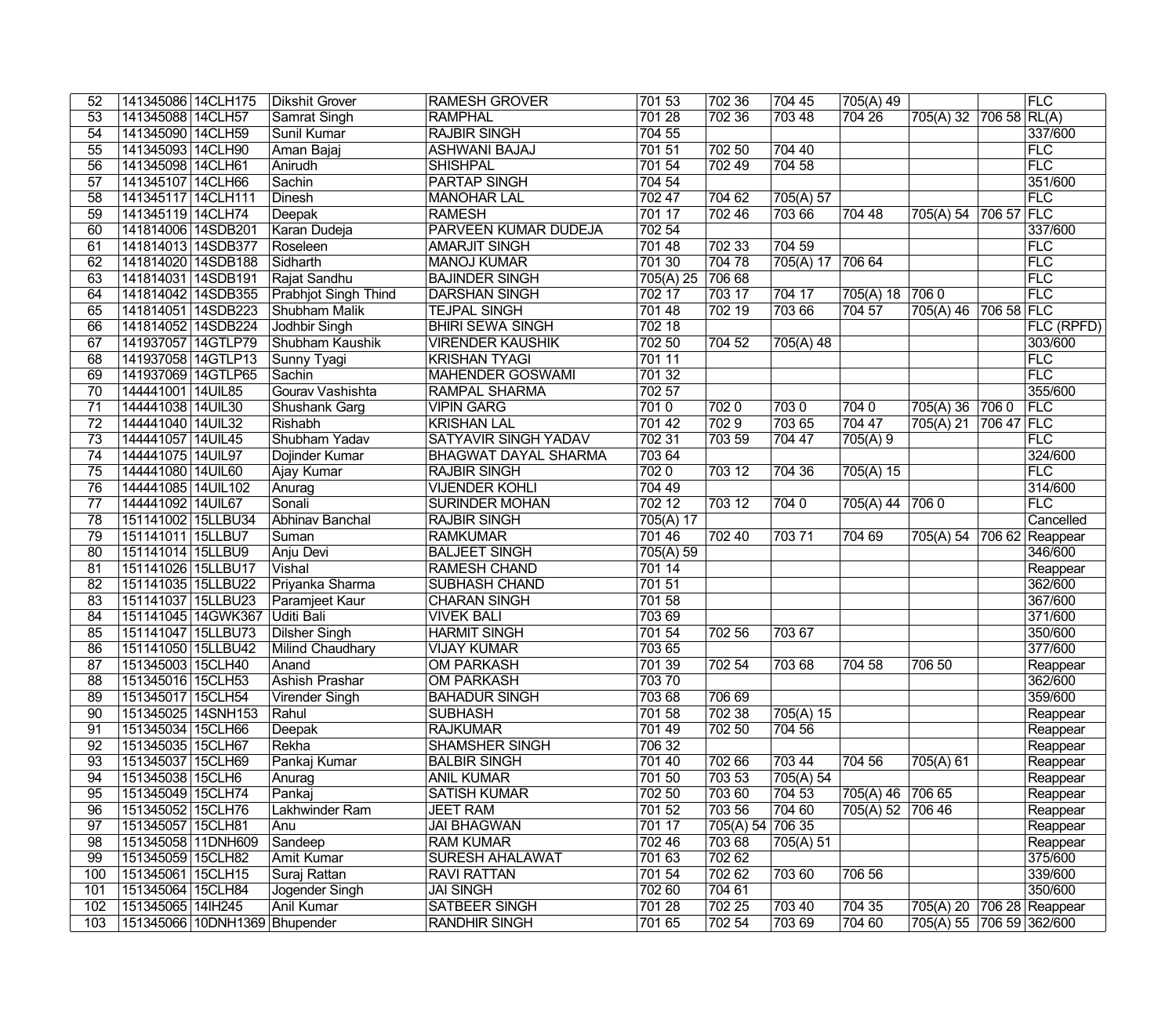| 141345088 14CLH57<br>701 28<br>702 36<br>704 26<br>$70658$ RL(A)<br>53<br>Samrat Singh<br>703 48<br>705(A) 32<br>54<br>141345090 14CLH59<br><b>RAJBIR SINGH</b><br>704 55<br>337/600<br>Sunil Kumar<br>55<br>141345093 14CLH90<br>701 51<br><b>FLC</b><br>Aman Bajaj<br><b>ASHWANI BAJAJ</b><br>702 50<br>704 40<br>704 58<br>FLC<br>$\overline{56}$<br>141345098 14CLH61<br><b>SHISHPAL</b><br>701 54<br> 70249<br>Anirudh<br>351/600<br>$\overline{57}$<br>141345107 14CLH66<br>Sachin<br><b>PARTAP SINGH</b><br>704 54<br>FLC<br>$\overline{58}$<br>141345117 14CLH111<br><b>Dinesh</b><br><b>MANOHAR LAL</b><br>702 47<br>704 62<br>705(A) 57<br>706 57 FLC<br>$\overline{59}$<br>141345119 14CLH74<br>Deepak<br><b>RAMESH</b><br>701 17<br>702 46<br>703 66<br>704 48<br>705(A) 54<br>60<br>PARVEEN KUMAR DUDEJA<br>702 54<br>337/600<br>141814006 14SDB201<br>Karan Dudeja<br>61<br>$\sqrt{70233}$<br> FLC<br>141814013 14SDB377<br><b>AMARJIT SINGH</b><br>701 48<br>704 59<br>Roseleen<br>FLC<br>62<br>141814020 14SDB188<br>701 30<br>704 78<br>705(A) 17 706 64<br>Sidharth<br><b>MANOJ KUMAR</b><br>70668<br>FLC<br>63<br>141814031 14SDB191<br>Rajat Sandhu<br><b>BAJINDER SINGH</b><br>705(A) 25<br>FLC<br>64<br><b>Prabhjot Singh Thind</b><br>703 17<br>705(A) 18<br>7060<br>141814042 14SDB355<br><b>DARSHAN SINGH</b><br>702 17<br>704 17<br>70219<br>706 58 FLC<br>65<br>141814051 14SDB223<br><b>TEJPAL SINGH</b><br>701 48<br>703 66<br>704 57<br>705(A) 46<br>Shubham Malik<br>66<br>141814052 14SDB224<br><b>Jodhbir Singh</b><br><b>BHIRI SEWA SINGH</b><br>702 18<br><b>FLC (RPFD)</b><br>702 50<br>67<br>141937057 14GTLP79<br><b>VIRENDER KAUSHIK</b><br>704 52<br>303/600<br>Shubham Kaushik<br>$705(A)$ 48<br>FLC<br>141937058 14GTLP13<br><b>KRISHAN TYAGI</b><br>68<br>701 11<br>Sunny Tyagi<br>FLC<br>701 32<br>69<br>141937069 14GTLP65<br><b>MAHENDER GOSWAMI</b><br>Sachin<br>355/600<br><b>RAMPAL SHARMA</b><br>702 57<br>70<br>144441001 14UIL85<br>Gourav Vashishta<br>FLC<br>144441038 14UIL30<br><b>VIPIN GARG</b><br>7010<br> 7020<br>7040<br>7060<br>71<br>Shushank Garg<br>7030<br>705(A) 36<br>$\sqrt{7029}$<br>703 65<br>706 47 FLC<br>$\overline{72}$<br>144441040 14UIL32<br><b>KRISHAN LAL</b><br>701 42<br>704 47<br>Rishabh<br>705(A) 21<br>FLC<br>$\overline{73}$<br>144441057 14UIL45<br>Shubham Yadav<br><b>SATYAVIR SINGH YADAV</b><br>702 31<br>703 59<br>704 47<br>705(A) 9<br>$\overline{74}$<br>324/600<br>144441075 14UIL97<br>Dojinder Kumar<br>703 64<br><b>BHAGWAT DAYAL SHARMA</b><br>FLC<br>144441080 14UIL60<br><b>RAJBIR SINGH</b><br>7020<br>75<br>Ajay Kumar<br>703 12<br>704 36<br>705(A) 15<br>$\overline{76}$<br>144441085 14UIL102<br>314/600<br>Anurag<br><b>VIJENDER KOHLI</b><br>704 49<br>FLC<br>$\overline{77}$<br>702 12<br>703 12<br>144441092 14UIL67<br>Sonali<br><b>SURINDER MOHAN</b><br>7040<br>705(A) 44<br>7060<br>78<br>Cancelled<br>151141002 15LLBU34<br>Abhinav Banchal<br><b>RAJBIR SINGH</b><br>705(A) 17<br>79<br>701 46<br>151141011 15LLBU7<br><b>RAMKUMAR</b><br>702 40<br>70371<br>704 69<br>705(A) 54<br>706 62 Reappear<br>Suman<br>$\overline{80}$<br><b>BALJEET SINGH</b><br>346/600<br>151141014 15LLBU9<br>705(A) 59<br>Anju Devi<br>$\overline{81}$<br>151141026 15LLBU17<br><b>RAMESH CHAND</b><br>Vishal<br>701 14<br>Reappear<br>362/600<br>$\overline{82}$<br><b>SUBHASH CHAND</b><br>701 51<br>151141035 15LLBU22<br>Priyanka Sharma<br>70158<br>367/600<br>$\overline{83}$<br>151141037 15LLBU23<br><b>CHARAN SINGH</b><br>Paramjeet Kaur<br><b>VIVEK BALI</b><br>371/600<br>151141045 14GWK367<br><b>Uditi Bali</b><br>703 69<br>84<br>350/600<br>85<br>151141047 15LLBU73<br><b>HARMIT SINGH</b><br>701 54<br>Dilsher Singh<br>702 56<br>703 67<br>377/600<br>86<br><b>VIJAY KUMAR</b><br>703 65<br>151141050 15LLBU42<br>Milind Chaudhary<br>87<br>151345003 15CLH40<br><b>OM PARKASH</b><br>701 39<br>702 54<br>Anand<br>70368<br>704 58<br>706 50<br>Reappear<br>151345016 15CLH53<br>70370<br><b>Ashish Prashar</b><br><b>OM PARKASH</b><br>362/600<br>$\overline{88}$<br>89<br>151345017 15CLH54<br><b>BAHADUR SINGH</b><br>703 68<br>706 69<br>359/600<br>Virender Singh<br>70238<br>151345025 14SNH153<br>701 58<br>705(A) 15<br>90<br><b>SUBHASH</b><br>Rahul<br>Reappear<br>70250<br>151345034 15CLH66<br><b>RAJKUMAR</b><br>701 49<br>704 56<br>91<br>Reappear<br>Deepak<br>706 32<br>92<br>151345035 15CLH67<br><b>SHAMSHER SINGH</b><br>Rekha<br>Reappear<br>93<br>151345037 15CLH69<br>Pankaj Kumar<br>701 40<br>702 66<br>703 44<br>704 56<br>705(A) 61<br><b>BALBIR SINGH</b><br>Reappear<br>151345038 15CLH6<br>701 50<br>703 53<br>$\sqrt{705}$ (A) 54<br>94<br><b>ANIL KUMAR</b><br>Reappear<br>Anurag<br>705(A) 46 706 65<br>95<br>702 50<br>703 60<br>151345049   15CLH74<br>Pankaj<br><b>SATISH KUMAR</b><br>704 53<br>Reappear<br>96<br>703 56<br>704 60<br>705(A) 52 706 46<br>151345052 15CLH76<br>Lakhwinder Ram<br><b>JEET RAM</b><br>701 52<br>Reappear<br>97<br>151345057 15CLH81<br><b>JAI BHAGWAN</b><br>701 17<br>705(A) 54 706 35<br>Reappear<br>Anu<br>98<br>151345058 11DNH609<br><b>RAM KUMAR</b><br>702 46<br>703 68<br>Sandeep<br>705(A) 51<br>Reappear<br>702 62<br>375/600<br>99<br>151345059 15CLH82<br>Amit Kumar<br>SURESH AHALAWAT<br>701 63<br>701 54<br> 70262<br>706 56<br>339/600<br>100<br>151345061 15CLH15<br><b>RAVI RATTAN</b><br>703 60<br>Suraj Rattan<br>350/600<br>702 60<br>151345064 15CLH84<br><b>JAI SINGH</b><br>704 61<br>101<br>Jogender Singh<br><b>SATBEER SINGH</b><br>701 28<br>70225<br>704 35<br>706 28 Reappear<br>102<br>151345065 14lH245<br>Anil Kumar<br>703 40<br>705(A) 20<br>705(A) 55 706 59 362/600<br>151345066 10DNH1369 Bhupender | 52  | 141345086 14CLH175 | Dikshit Grover | <b>RAMESH GROVER</b> | 701 53 | 702 36 | $\sqrt{7}0445$ | 705(A) 49 |  | <b>FLC</b> |
|------------------------------------------------------------------------------------------------------------------------------------------------------------------------------------------------------------------------------------------------------------------------------------------------------------------------------------------------------------------------------------------------------------------------------------------------------------------------------------------------------------------------------------------------------------------------------------------------------------------------------------------------------------------------------------------------------------------------------------------------------------------------------------------------------------------------------------------------------------------------------------------------------------------------------------------------------------------------------------------------------------------------------------------------------------------------------------------------------------------------------------------------------------------------------------------------------------------------------------------------------------------------------------------------------------------------------------------------------------------------------------------------------------------------------------------------------------------------------------------------------------------------------------------------------------------------------------------------------------------------------------------------------------------------------------------------------------------------------------------------------------------------------------------------------------------------------------------------------------------------------------------------------------------------------------------------------------------------------------------------------------------------------------------------------------------------------------------------------------------------------------------------------------------------------------------------------------------------------------------------------------------------------------------------------------------------------------------------------------------------------------------------------------------------------------------------------------------------------------------------------------------------------------------------------------------------------------------------------------------------------------------------------------------------------------------------------------------------------------------------------------------------------------------------------------------------------------------------------------------------------------------------------------------------------------------------------------------------------------------------------------------------------------------------------------------------------------------------------------------------------------------------------------------------------------------------------------------------------------------------------------------------------------------------------------------------------------------------------------------------------------------------------------------------------------------------------------------------------------------------------------------------------------------------------------------------------------------------------------------------------------------------------------------------------------------------------------------------------------------------------------------------------------------------------------------------------------------------------------------------------------------------------------------------------------------------------------------------------------------------------------------------------------------------------------------------------------------------------------------------------------------------------------------------------------------------------------------------------------------------------------------------------------------------------------------------------------------------------------------------------------------------------------------------------------------------------------------------------------------------------------------------------------------------------------------------------------------------------------------------------------------------------------------------------------------------------------------------------------------------------------------------------------------------------------------------------------------------------------------------------------------------------------------------------------------------------------------------------------------------------------------------------------------------------------------------------------------------------------------------------------------------------------------------------------------------------------------------------------------------------------------------------------------------------------------------------------------------------------------------------------------------------------------------------------------------------------------------------------------------------------------------------------------------------------------------------------------------------------------------------------------------------------------------------------------------------------------------------------|-----|--------------------|----------------|----------------------|--------|--------|----------------|-----------|--|------------|
|                                                                                                                                                                                                                                                                                                                                                                                                                                                                                                                                                                                                                                                                                                                                                                                                                                                                                                                                                                                                                                                                                                                                                                                                                                                                                                                                                                                                                                                                                                                                                                                                                                                                                                                                                                                                                                                                                                                                                                                                                                                                                                                                                                                                                                                                                                                                                                                                                                                                                                                                                                                                                                                                                                                                                                                                                                                                                                                                                                                                                                                                                                                                                                                                                                                                                                                                                                                                                                                                                                                                                                                                                                                                                                                                                                                                                                                                                                                                                                                                                                                                                                                                                                                                                                                                                                                                                                                                                                                                                                                                                                                                                                                                                                                                                                                                                                                                                                                                                                                                                                                                                                                                                                                                                                                                                                                                                                                                                                                                                                                                                                                                                                                                                                                                    |     |                    |                | <b>RAMPHAL</b>       |        |        |                |           |  |            |
|                                                                                                                                                                                                                                                                                                                                                                                                                                                                                                                                                                                                                                                                                                                                                                                                                                                                                                                                                                                                                                                                                                                                                                                                                                                                                                                                                                                                                                                                                                                                                                                                                                                                                                                                                                                                                                                                                                                                                                                                                                                                                                                                                                                                                                                                                                                                                                                                                                                                                                                                                                                                                                                                                                                                                                                                                                                                                                                                                                                                                                                                                                                                                                                                                                                                                                                                                                                                                                                                                                                                                                                                                                                                                                                                                                                                                                                                                                                                                                                                                                                                                                                                                                                                                                                                                                                                                                                                                                                                                                                                                                                                                                                                                                                                                                                                                                                                                                                                                                                                                                                                                                                                                                                                                                                                                                                                                                                                                                                                                                                                                                                                                                                                                                                                    |     |                    |                |                      |        |        |                |           |  |            |
|                                                                                                                                                                                                                                                                                                                                                                                                                                                                                                                                                                                                                                                                                                                                                                                                                                                                                                                                                                                                                                                                                                                                                                                                                                                                                                                                                                                                                                                                                                                                                                                                                                                                                                                                                                                                                                                                                                                                                                                                                                                                                                                                                                                                                                                                                                                                                                                                                                                                                                                                                                                                                                                                                                                                                                                                                                                                                                                                                                                                                                                                                                                                                                                                                                                                                                                                                                                                                                                                                                                                                                                                                                                                                                                                                                                                                                                                                                                                                                                                                                                                                                                                                                                                                                                                                                                                                                                                                                                                                                                                                                                                                                                                                                                                                                                                                                                                                                                                                                                                                                                                                                                                                                                                                                                                                                                                                                                                                                                                                                                                                                                                                                                                                                                                    |     |                    |                |                      |        |        |                |           |  |            |
|                                                                                                                                                                                                                                                                                                                                                                                                                                                                                                                                                                                                                                                                                                                                                                                                                                                                                                                                                                                                                                                                                                                                                                                                                                                                                                                                                                                                                                                                                                                                                                                                                                                                                                                                                                                                                                                                                                                                                                                                                                                                                                                                                                                                                                                                                                                                                                                                                                                                                                                                                                                                                                                                                                                                                                                                                                                                                                                                                                                                                                                                                                                                                                                                                                                                                                                                                                                                                                                                                                                                                                                                                                                                                                                                                                                                                                                                                                                                                                                                                                                                                                                                                                                                                                                                                                                                                                                                                                                                                                                                                                                                                                                                                                                                                                                                                                                                                                                                                                                                                                                                                                                                                                                                                                                                                                                                                                                                                                                                                                                                                                                                                                                                                                                                    |     |                    |                |                      |        |        |                |           |  |            |
|                                                                                                                                                                                                                                                                                                                                                                                                                                                                                                                                                                                                                                                                                                                                                                                                                                                                                                                                                                                                                                                                                                                                                                                                                                                                                                                                                                                                                                                                                                                                                                                                                                                                                                                                                                                                                                                                                                                                                                                                                                                                                                                                                                                                                                                                                                                                                                                                                                                                                                                                                                                                                                                                                                                                                                                                                                                                                                                                                                                                                                                                                                                                                                                                                                                                                                                                                                                                                                                                                                                                                                                                                                                                                                                                                                                                                                                                                                                                                                                                                                                                                                                                                                                                                                                                                                                                                                                                                                                                                                                                                                                                                                                                                                                                                                                                                                                                                                                                                                                                                                                                                                                                                                                                                                                                                                                                                                                                                                                                                                                                                                                                                                                                                                                                    |     |                    |                |                      |        |        |                |           |  |            |
|                                                                                                                                                                                                                                                                                                                                                                                                                                                                                                                                                                                                                                                                                                                                                                                                                                                                                                                                                                                                                                                                                                                                                                                                                                                                                                                                                                                                                                                                                                                                                                                                                                                                                                                                                                                                                                                                                                                                                                                                                                                                                                                                                                                                                                                                                                                                                                                                                                                                                                                                                                                                                                                                                                                                                                                                                                                                                                                                                                                                                                                                                                                                                                                                                                                                                                                                                                                                                                                                                                                                                                                                                                                                                                                                                                                                                                                                                                                                                                                                                                                                                                                                                                                                                                                                                                                                                                                                                                                                                                                                                                                                                                                                                                                                                                                                                                                                                                                                                                                                                                                                                                                                                                                                                                                                                                                                                                                                                                                                                                                                                                                                                                                                                                                                    |     |                    |                |                      |        |        |                |           |  |            |
|                                                                                                                                                                                                                                                                                                                                                                                                                                                                                                                                                                                                                                                                                                                                                                                                                                                                                                                                                                                                                                                                                                                                                                                                                                                                                                                                                                                                                                                                                                                                                                                                                                                                                                                                                                                                                                                                                                                                                                                                                                                                                                                                                                                                                                                                                                                                                                                                                                                                                                                                                                                                                                                                                                                                                                                                                                                                                                                                                                                                                                                                                                                                                                                                                                                                                                                                                                                                                                                                                                                                                                                                                                                                                                                                                                                                                                                                                                                                                                                                                                                                                                                                                                                                                                                                                                                                                                                                                                                                                                                                                                                                                                                                                                                                                                                                                                                                                                                                                                                                                                                                                                                                                                                                                                                                                                                                                                                                                                                                                                                                                                                                                                                                                                                                    |     |                    |                |                      |        |        |                |           |  |            |
|                                                                                                                                                                                                                                                                                                                                                                                                                                                                                                                                                                                                                                                                                                                                                                                                                                                                                                                                                                                                                                                                                                                                                                                                                                                                                                                                                                                                                                                                                                                                                                                                                                                                                                                                                                                                                                                                                                                                                                                                                                                                                                                                                                                                                                                                                                                                                                                                                                                                                                                                                                                                                                                                                                                                                                                                                                                                                                                                                                                                                                                                                                                                                                                                                                                                                                                                                                                                                                                                                                                                                                                                                                                                                                                                                                                                                                                                                                                                                                                                                                                                                                                                                                                                                                                                                                                                                                                                                                                                                                                                                                                                                                                                                                                                                                                                                                                                                                                                                                                                                                                                                                                                                                                                                                                                                                                                                                                                                                                                                                                                                                                                                                                                                                                                    |     |                    |                |                      |        |        |                |           |  |            |
|                                                                                                                                                                                                                                                                                                                                                                                                                                                                                                                                                                                                                                                                                                                                                                                                                                                                                                                                                                                                                                                                                                                                                                                                                                                                                                                                                                                                                                                                                                                                                                                                                                                                                                                                                                                                                                                                                                                                                                                                                                                                                                                                                                                                                                                                                                                                                                                                                                                                                                                                                                                                                                                                                                                                                                                                                                                                                                                                                                                                                                                                                                                                                                                                                                                                                                                                                                                                                                                                                                                                                                                                                                                                                                                                                                                                                                                                                                                                                                                                                                                                                                                                                                                                                                                                                                                                                                                                                                                                                                                                                                                                                                                                                                                                                                                                                                                                                                                                                                                                                                                                                                                                                                                                                                                                                                                                                                                                                                                                                                                                                                                                                                                                                                                                    |     |                    |                |                      |        |        |                |           |  |            |
|                                                                                                                                                                                                                                                                                                                                                                                                                                                                                                                                                                                                                                                                                                                                                                                                                                                                                                                                                                                                                                                                                                                                                                                                                                                                                                                                                                                                                                                                                                                                                                                                                                                                                                                                                                                                                                                                                                                                                                                                                                                                                                                                                                                                                                                                                                                                                                                                                                                                                                                                                                                                                                                                                                                                                                                                                                                                                                                                                                                                                                                                                                                                                                                                                                                                                                                                                                                                                                                                                                                                                                                                                                                                                                                                                                                                                                                                                                                                                                                                                                                                                                                                                                                                                                                                                                                                                                                                                                                                                                                                                                                                                                                                                                                                                                                                                                                                                                                                                                                                                                                                                                                                                                                                                                                                                                                                                                                                                                                                                                                                                                                                                                                                                                                                    |     |                    |                |                      |        |        |                |           |  |            |
|                                                                                                                                                                                                                                                                                                                                                                                                                                                                                                                                                                                                                                                                                                                                                                                                                                                                                                                                                                                                                                                                                                                                                                                                                                                                                                                                                                                                                                                                                                                                                                                                                                                                                                                                                                                                                                                                                                                                                                                                                                                                                                                                                                                                                                                                                                                                                                                                                                                                                                                                                                                                                                                                                                                                                                                                                                                                                                                                                                                                                                                                                                                                                                                                                                                                                                                                                                                                                                                                                                                                                                                                                                                                                                                                                                                                                                                                                                                                                                                                                                                                                                                                                                                                                                                                                                                                                                                                                                                                                                                                                                                                                                                                                                                                                                                                                                                                                                                                                                                                                                                                                                                                                                                                                                                                                                                                                                                                                                                                                                                                                                                                                                                                                                                                    |     |                    |                |                      |        |        |                |           |  |            |
|                                                                                                                                                                                                                                                                                                                                                                                                                                                                                                                                                                                                                                                                                                                                                                                                                                                                                                                                                                                                                                                                                                                                                                                                                                                                                                                                                                                                                                                                                                                                                                                                                                                                                                                                                                                                                                                                                                                                                                                                                                                                                                                                                                                                                                                                                                                                                                                                                                                                                                                                                                                                                                                                                                                                                                                                                                                                                                                                                                                                                                                                                                                                                                                                                                                                                                                                                                                                                                                                                                                                                                                                                                                                                                                                                                                                                                                                                                                                                                                                                                                                                                                                                                                                                                                                                                                                                                                                                                                                                                                                                                                                                                                                                                                                                                                                                                                                                                                                                                                                                                                                                                                                                                                                                                                                                                                                                                                                                                                                                                                                                                                                                                                                                                                                    |     |                    |                |                      |        |        |                |           |  |            |
|                                                                                                                                                                                                                                                                                                                                                                                                                                                                                                                                                                                                                                                                                                                                                                                                                                                                                                                                                                                                                                                                                                                                                                                                                                                                                                                                                                                                                                                                                                                                                                                                                                                                                                                                                                                                                                                                                                                                                                                                                                                                                                                                                                                                                                                                                                                                                                                                                                                                                                                                                                                                                                                                                                                                                                                                                                                                                                                                                                                                                                                                                                                                                                                                                                                                                                                                                                                                                                                                                                                                                                                                                                                                                                                                                                                                                                                                                                                                                                                                                                                                                                                                                                                                                                                                                                                                                                                                                                                                                                                                                                                                                                                                                                                                                                                                                                                                                                                                                                                                                                                                                                                                                                                                                                                                                                                                                                                                                                                                                                                                                                                                                                                                                                                                    |     |                    |                |                      |        |        |                |           |  |            |
|                                                                                                                                                                                                                                                                                                                                                                                                                                                                                                                                                                                                                                                                                                                                                                                                                                                                                                                                                                                                                                                                                                                                                                                                                                                                                                                                                                                                                                                                                                                                                                                                                                                                                                                                                                                                                                                                                                                                                                                                                                                                                                                                                                                                                                                                                                                                                                                                                                                                                                                                                                                                                                                                                                                                                                                                                                                                                                                                                                                                                                                                                                                                                                                                                                                                                                                                                                                                                                                                                                                                                                                                                                                                                                                                                                                                                                                                                                                                                                                                                                                                                                                                                                                                                                                                                                                                                                                                                                                                                                                                                                                                                                                                                                                                                                                                                                                                                                                                                                                                                                                                                                                                                                                                                                                                                                                                                                                                                                                                                                                                                                                                                                                                                                                                    |     |                    |                |                      |        |        |                |           |  |            |
|                                                                                                                                                                                                                                                                                                                                                                                                                                                                                                                                                                                                                                                                                                                                                                                                                                                                                                                                                                                                                                                                                                                                                                                                                                                                                                                                                                                                                                                                                                                                                                                                                                                                                                                                                                                                                                                                                                                                                                                                                                                                                                                                                                                                                                                                                                                                                                                                                                                                                                                                                                                                                                                                                                                                                                                                                                                                                                                                                                                                                                                                                                                                                                                                                                                                                                                                                                                                                                                                                                                                                                                                                                                                                                                                                                                                                                                                                                                                                                                                                                                                                                                                                                                                                                                                                                                                                                                                                                                                                                                                                                                                                                                                                                                                                                                                                                                                                                                                                                                                                                                                                                                                                                                                                                                                                                                                                                                                                                                                                                                                                                                                                                                                                                                                    |     |                    |                |                      |        |        |                |           |  |            |
|                                                                                                                                                                                                                                                                                                                                                                                                                                                                                                                                                                                                                                                                                                                                                                                                                                                                                                                                                                                                                                                                                                                                                                                                                                                                                                                                                                                                                                                                                                                                                                                                                                                                                                                                                                                                                                                                                                                                                                                                                                                                                                                                                                                                                                                                                                                                                                                                                                                                                                                                                                                                                                                                                                                                                                                                                                                                                                                                                                                                                                                                                                                                                                                                                                                                                                                                                                                                                                                                                                                                                                                                                                                                                                                                                                                                                                                                                                                                                                                                                                                                                                                                                                                                                                                                                                                                                                                                                                                                                                                                                                                                                                                                                                                                                                                                                                                                                                                                                                                                                                                                                                                                                                                                                                                                                                                                                                                                                                                                                                                                                                                                                                                                                                                                    |     |                    |                |                      |        |        |                |           |  |            |
|                                                                                                                                                                                                                                                                                                                                                                                                                                                                                                                                                                                                                                                                                                                                                                                                                                                                                                                                                                                                                                                                                                                                                                                                                                                                                                                                                                                                                                                                                                                                                                                                                                                                                                                                                                                                                                                                                                                                                                                                                                                                                                                                                                                                                                                                                                                                                                                                                                                                                                                                                                                                                                                                                                                                                                                                                                                                                                                                                                                                                                                                                                                                                                                                                                                                                                                                                                                                                                                                                                                                                                                                                                                                                                                                                                                                                                                                                                                                                                                                                                                                                                                                                                                                                                                                                                                                                                                                                                                                                                                                                                                                                                                                                                                                                                                                                                                                                                                                                                                                                                                                                                                                                                                                                                                                                                                                                                                                                                                                                                                                                                                                                                                                                                                                    |     |                    |                |                      |        |        |                |           |  |            |
|                                                                                                                                                                                                                                                                                                                                                                                                                                                                                                                                                                                                                                                                                                                                                                                                                                                                                                                                                                                                                                                                                                                                                                                                                                                                                                                                                                                                                                                                                                                                                                                                                                                                                                                                                                                                                                                                                                                                                                                                                                                                                                                                                                                                                                                                                                                                                                                                                                                                                                                                                                                                                                                                                                                                                                                                                                                                                                                                                                                                                                                                                                                                                                                                                                                                                                                                                                                                                                                                                                                                                                                                                                                                                                                                                                                                                                                                                                                                                                                                                                                                                                                                                                                                                                                                                                                                                                                                                                                                                                                                                                                                                                                                                                                                                                                                                                                                                                                                                                                                                                                                                                                                                                                                                                                                                                                                                                                                                                                                                                                                                                                                                                                                                                                                    |     |                    |                |                      |        |        |                |           |  |            |
|                                                                                                                                                                                                                                                                                                                                                                                                                                                                                                                                                                                                                                                                                                                                                                                                                                                                                                                                                                                                                                                                                                                                                                                                                                                                                                                                                                                                                                                                                                                                                                                                                                                                                                                                                                                                                                                                                                                                                                                                                                                                                                                                                                                                                                                                                                                                                                                                                                                                                                                                                                                                                                                                                                                                                                                                                                                                                                                                                                                                                                                                                                                                                                                                                                                                                                                                                                                                                                                                                                                                                                                                                                                                                                                                                                                                                                                                                                                                                                                                                                                                                                                                                                                                                                                                                                                                                                                                                                                                                                                                                                                                                                                                                                                                                                                                                                                                                                                                                                                                                                                                                                                                                                                                                                                                                                                                                                                                                                                                                                                                                                                                                                                                                                                                    |     |                    |                |                      |        |        |                |           |  |            |
|                                                                                                                                                                                                                                                                                                                                                                                                                                                                                                                                                                                                                                                                                                                                                                                                                                                                                                                                                                                                                                                                                                                                                                                                                                                                                                                                                                                                                                                                                                                                                                                                                                                                                                                                                                                                                                                                                                                                                                                                                                                                                                                                                                                                                                                                                                                                                                                                                                                                                                                                                                                                                                                                                                                                                                                                                                                                                                                                                                                                                                                                                                                                                                                                                                                                                                                                                                                                                                                                                                                                                                                                                                                                                                                                                                                                                                                                                                                                                                                                                                                                                                                                                                                                                                                                                                                                                                                                                                                                                                                                                                                                                                                                                                                                                                                                                                                                                                                                                                                                                                                                                                                                                                                                                                                                                                                                                                                                                                                                                                                                                                                                                                                                                                                                    |     |                    |                |                      |        |        |                |           |  |            |
|                                                                                                                                                                                                                                                                                                                                                                                                                                                                                                                                                                                                                                                                                                                                                                                                                                                                                                                                                                                                                                                                                                                                                                                                                                                                                                                                                                                                                                                                                                                                                                                                                                                                                                                                                                                                                                                                                                                                                                                                                                                                                                                                                                                                                                                                                                                                                                                                                                                                                                                                                                                                                                                                                                                                                                                                                                                                                                                                                                                                                                                                                                                                                                                                                                                                                                                                                                                                                                                                                                                                                                                                                                                                                                                                                                                                                                                                                                                                                                                                                                                                                                                                                                                                                                                                                                                                                                                                                                                                                                                                                                                                                                                                                                                                                                                                                                                                                                                                                                                                                                                                                                                                                                                                                                                                                                                                                                                                                                                                                                                                                                                                                                                                                                                                    |     |                    |                |                      |        |        |                |           |  |            |
|                                                                                                                                                                                                                                                                                                                                                                                                                                                                                                                                                                                                                                                                                                                                                                                                                                                                                                                                                                                                                                                                                                                                                                                                                                                                                                                                                                                                                                                                                                                                                                                                                                                                                                                                                                                                                                                                                                                                                                                                                                                                                                                                                                                                                                                                                                                                                                                                                                                                                                                                                                                                                                                                                                                                                                                                                                                                                                                                                                                                                                                                                                                                                                                                                                                                                                                                                                                                                                                                                                                                                                                                                                                                                                                                                                                                                                                                                                                                                                                                                                                                                                                                                                                                                                                                                                                                                                                                                                                                                                                                                                                                                                                                                                                                                                                                                                                                                                                                                                                                                                                                                                                                                                                                                                                                                                                                                                                                                                                                                                                                                                                                                                                                                                                                    |     |                    |                |                      |        |        |                |           |  |            |
|                                                                                                                                                                                                                                                                                                                                                                                                                                                                                                                                                                                                                                                                                                                                                                                                                                                                                                                                                                                                                                                                                                                                                                                                                                                                                                                                                                                                                                                                                                                                                                                                                                                                                                                                                                                                                                                                                                                                                                                                                                                                                                                                                                                                                                                                                                                                                                                                                                                                                                                                                                                                                                                                                                                                                                                                                                                                                                                                                                                                                                                                                                                                                                                                                                                                                                                                                                                                                                                                                                                                                                                                                                                                                                                                                                                                                                                                                                                                                                                                                                                                                                                                                                                                                                                                                                                                                                                                                                                                                                                                                                                                                                                                                                                                                                                                                                                                                                                                                                                                                                                                                                                                                                                                                                                                                                                                                                                                                                                                                                                                                                                                                                                                                                                                    |     |                    |                |                      |        |        |                |           |  |            |
|                                                                                                                                                                                                                                                                                                                                                                                                                                                                                                                                                                                                                                                                                                                                                                                                                                                                                                                                                                                                                                                                                                                                                                                                                                                                                                                                                                                                                                                                                                                                                                                                                                                                                                                                                                                                                                                                                                                                                                                                                                                                                                                                                                                                                                                                                                                                                                                                                                                                                                                                                                                                                                                                                                                                                                                                                                                                                                                                                                                                                                                                                                                                                                                                                                                                                                                                                                                                                                                                                                                                                                                                                                                                                                                                                                                                                                                                                                                                                                                                                                                                                                                                                                                                                                                                                                                                                                                                                                                                                                                                                                                                                                                                                                                                                                                                                                                                                                                                                                                                                                                                                                                                                                                                                                                                                                                                                                                                                                                                                                                                                                                                                                                                                                                                    |     |                    |                |                      |        |        |                |           |  |            |
|                                                                                                                                                                                                                                                                                                                                                                                                                                                                                                                                                                                                                                                                                                                                                                                                                                                                                                                                                                                                                                                                                                                                                                                                                                                                                                                                                                                                                                                                                                                                                                                                                                                                                                                                                                                                                                                                                                                                                                                                                                                                                                                                                                                                                                                                                                                                                                                                                                                                                                                                                                                                                                                                                                                                                                                                                                                                                                                                                                                                                                                                                                                                                                                                                                                                                                                                                                                                                                                                                                                                                                                                                                                                                                                                                                                                                                                                                                                                                                                                                                                                                                                                                                                                                                                                                                                                                                                                                                                                                                                                                                                                                                                                                                                                                                                                                                                                                                                                                                                                                                                                                                                                                                                                                                                                                                                                                                                                                                                                                                                                                                                                                                                                                                                                    |     |                    |                |                      |        |        |                |           |  |            |
|                                                                                                                                                                                                                                                                                                                                                                                                                                                                                                                                                                                                                                                                                                                                                                                                                                                                                                                                                                                                                                                                                                                                                                                                                                                                                                                                                                                                                                                                                                                                                                                                                                                                                                                                                                                                                                                                                                                                                                                                                                                                                                                                                                                                                                                                                                                                                                                                                                                                                                                                                                                                                                                                                                                                                                                                                                                                                                                                                                                                                                                                                                                                                                                                                                                                                                                                                                                                                                                                                                                                                                                                                                                                                                                                                                                                                                                                                                                                                                                                                                                                                                                                                                                                                                                                                                                                                                                                                                                                                                                                                                                                                                                                                                                                                                                                                                                                                                                                                                                                                                                                                                                                                                                                                                                                                                                                                                                                                                                                                                                                                                                                                                                                                                                                    |     |                    |                |                      |        |        |                |           |  |            |
|                                                                                                                                                                                                                                                                                                                                                                                                                                                                                                                                                                                                                                                                                                                                                                                                                                                                                                                                                                                                                                                                                                                                                                                                                                                                                                                                                                                                                                                                                                                                                                                                                                                                                                                                                                                                                                                                                                                                                                                                                                                                                                                                                                                                                                                                                                                                                                                                                                                                                                                                                                                                                                                                                                                                                                                                                                                                                                                                                                                                                                                                                                                                                                                                                                                                                                                                                                                                                                                                                                                                                                                                                                                                                                                                                                                                                                                                                                                                                                                                                                                                                                                                                                                                                                                                                                                                                                                                                                                                                                                                                                                                                                                                                                                                                                                                                                                                                                                                                                                                                                                                                                                                                                                                                                                                                                                                                                                                                                                                                                                                                                                                                                                                                                                                    |     |                    |                |                      |        |        |                |           |  |            |
|                                                                                                                                                                                                                                                                                                                                                                                                                                                                                                                                                                                                                                                                                                                                                                                                                                                                                                                                                                                                                                                                                                                                                                                                                                                                                                                                                                                                                                                                                                                                                                                                                                                                                                                                                                                                                                                                                                                                                                                                                                                                                                                                                                                                                                                                                                                                                                                                                                                                                                                                                                                                                                                                                                                                                                                                                                                                                                                                                                                                                                                                                                                                                                                                                                                                                                                                                                                                                                                                                                                                                                                                                                                                                                                                                                                                                                                                                                                                                                                                                                                                                                                                                                                                                                                                                                                                                                                                                                                                                                                                                                                                                                                                                                                                                                                                                                                                                                                                                                                                                                                                                                                                                                                                                                                                                                                                                                                                                                                                                                                                                                                                                                                                                                                                    |     |                    |                |                      |        |        |                |           |  |            |
|                                                                                                                                                                                                                                                                                                                                                                                                                                                                                                                                                                                                                                                                                                                                                                                                                                                                                                                                                                                                                                                                                                                                                                                                                                                                                                                                                                                                                                                                                                                                                                                                                                                                                                                                                                                                                                                                                                                                                                                                                                                                                                                                                                                                                                                                                                                                                                                                                                                                                                                                                                                                                                                                                                                                                                                                                                                                                                                                                                                                                                                                                                                                                                                                                                                                                                                                                                                                                                                                                                                                                                                                                                                                                                                                                                                                                                                                                                                                                                                                                                                                                                                                                                                                                                                                                                                                                                                                                                                                                                                                                                                                                                                                                                                                                                                                                                                                                                                                                                                                                                                                                                                                                                                                                                                                                                                                                                                                                                                                                                                                                                                                                                                                                                                                    |     |                    |                |                      |        |        |                |           |  |            |
|                                                                                                                                                                                                                                                                                                                                                                                                                                                                                                                                                                                                                                                                                                                                                                                                                                                                                                                                                                                                                                                                                                                                                                                                                                                                                                                                                                                                                                                                                                                                                                                                                                                                                                                                                                                                                                                                                                                                                                                                                                                                                                                                                                                                                                                                                                                                                                                                                                                                                                                                                                                                                                                                                                                                                                                                                                                                                                                                                                                                                                                                                                                                                                                                                                                                                                                                                                                                                                                                                                                                                                                                                                                                                                                                                                                                                                                                                                                                                                                                                                                                                                                                                                                                                                                                                                                                                                                                                                                                                                                                                                                                                                                                                                                                                                                                                                                                                                                                                                                                                                                                                                                                                                                                                                                                                                                                                                                                                                                                                                                                                                                                                                                                                                                                    |     |                    |                |                      |        |        |                |           |  |            |
|                                                                                                                                                                                                                                                                                                                                                                                                                                                                                                                                                                                                                                                                                                                                                                                                                                                                                                                                                                                                                                                                                                                                                                                                                                                                                                                                                                                                                                                                                                                                                                                                                                                                                                                                                                                                                                                                                                                                                                                                                                                                                                                                                                                                                                                                                                                                                                                                                                                                                                                                                                                                                                                                                                                                                                                                                                                                                                                                                                                                                                                                                                                                                                                                                                                                                                                                                                                                                                                                                                                                                                                                                                                                                                                                                                                                                                                                                                                                                                                                                                                                                                                                                                                                                                                                                                                                                                                                                                                                                                                                                                                                                                                                                                                                                                                                                                                                                                                                                                                                                                                                                                                                                                                                                                                                                                                                                                                                                                                                                                                                                                                                                                                                                                                                    |     |                    |                |                      |        |        |                |           |  |            |
|                                                                                                                                                                                                                                                                                                                                                                                                                                                                                                                                                                                                                                                                                                                                                                                                                                                                                                                                                                                                                                                                                                                                                                                                                                                                                                                                                                                                                                                                                                                                                                                                                                                                                                                                                                                                                                                                                                                                                                                                                                                                                                                                                                                                                                                                                                                                                                                                                                                                                                                                                                                                                                                                                                                                                                                                                                                                                                                                                                                                                                                                                                                                                                                                                                                                                                                                                                                                                                                                                                                                                                                                                                                                                                                                                                                                                                                                                                                                                                                                                                                                                                                                                                                                                                                                                                                                                                                                                                                                                                                                                                                                                                                                                                                                                                                                                                                                                                                                                                                                                                                                                                                                                                                                                                                                                                                                                                                                                                                                                                                                                                                                                                                                                                                                    |     |                    |                |                      |        |        |                |           |  |            |
|                                                                                                                                                                                                                                                                                                                                                                                                                                                                                                                                                                                                                                                                                                                                                                                                                                                                                                                                                                                                                                                                                                                                                                                                                                                                                                                                                                                                                                                                                                                                                                                                                                                                                                                                                                                                                                                                                                                                                                                                                                                                                                                                                                                                                                                                                                                                                                                                                                                                                                                                                                                                                                                                                                                                                                                                                                                                                                                                                                                                                                                                                                                                                                                                                                                                                                                                                                                                                                                                                                                                                                                                                                                                                                                                                                                                                                                                                                                                                                                                                                                                                                                                                                                                                                                                                                                                                                                                                                                                                                                                                                                                                                                                                                                                                                                                                                                                                                                                                                                                                                                                                                                                                                                                                                                                                                                                                                                                                                                                                                                                                                                                                                                                                                                                    |     |                    |                |                      |        |        |                |           |  |            |
|                                                                                                                                                                                                                                                                                                                                                                                                                                                                                                                                                                                                                                                                                                                                                                                                                                                                                                                                                                                                                                                                                                                                                                                                                                                                                                                                                                                                                                                                                                                                                                                                                                                                                                                                                                                                                                                                                                                                                                                                                                                                                                                                                                                                                                                                                                                                                                                                                                                                                                                                                                                                                                                                                                                                                                                                                                                                                                                                                                                                                                                                                                                                                                                                                                                                                                                                                                                                                                                                                                                                                                                                                                                                                                                                                                                                                                                                                                                                                                                                                                                                                                                                                                                                                                                                                                                                                                                                                                                                                                                                                                                                                                                                                                                                                                                                                                                                                                                                                                                                                                                                                                                                                                                                                                                                                                                                                                                                                                                                                                                                                                                                                                                                                                                                    |     |                    |                |                      |        |        |                |           |  |            |
|                                                                                                                                                                                                                                                                                                                                                                                                                                                                                                                                                                                                                                                                                                                                                                                                                                                                                                                                                                                                                                                                                                                                                                                                                                                                                                                                                                                                                                                                                                                                                                                                                                                                                                                                                                                                                                                                                                                                                                                                                                                                                                                                                                                                                                                                                                                                                                                                                                                                                                                                                                                                                                                                                                                                                                                                                                                                                                                                                                                                                                                                                                                                                                                                                                                                                                                                                                                                                                                                                                                                                                                                                                                                                                                                                                                                                                                                                                                                                                                                                                                                                                                                                                                                                                                                                                                                                                                                                                                                                                                                                                                                                                                                                                                                                                                                                                                                                                                                                                                                                                                                                                                                                                                                                                                                                                                                                                                                                                                                                                                                                                                                                                                                                                                                    |     |                    |                |                      |        |        |                |           |  |            |
|                                                                                                                                                                                                                                                                                                                                                                                                                                                                                                                                                                                                                                                                                                                                                                                                                                                                                                                                                                                                                                                                                                                                                                                                                                                                                                                                                                                                                                                                                                                                                                                                                                                                                                                                                                                                                                                                                                                                                                                                                                                                                                                                                                                                                                                                                                                                                                                                                                                                                                                                                                                                                                                                                                                                                                                                                                                                                                                                                                                                                                                                                                                                                                                                                                                                                                                                                                                                                                                                                                                                                                                                                                                                                                                                                                                                                                                                                                                                                                                                                                                                                                                                                                                                                                                                                                                                                                                                                                                                                                                                                                                                                                                                                                                                                                                                                                                                                                                                                                                                                                                                                                                                                                                                                                                                                                                                                                                                                                                                                                                                                                                                                                                                                                                                    |     |                    |                |                      |        |        |                |           |  |            |
|                                                                                                                                                                                                                                                                                                                                                                                                                                                                                                                                                                                                                                                                                                                                                                                                                                                                                                                                                                                                                                                                                                                                                                                                                                                                                                                                                                                                                                                                                                                                                                                                                                                                                                                                                                                                                                                                                                                                                                                                                                                                                                                                                                                                                                                                                                                                                                                                                                                                                                                                                                                                                                                                                                                                                                                                                                                                                                                                                                                                                                                                                                                                                                                                                                                                                                                                                                                                                                                                                                                                                                                                                                                                                                                                                                                                                                                                                                                                                                                                                                                                                                                                                                                                                                                                                                                                                                                                                                                                                                                                                                                                                                                                                                                                                                                                                                                                                                                                                                                                                                                                                                                                                                                                                                                                                                                                                                                                                                                                                                                                                                                                                                                                                                                                    |     |                    |                |                      |        |        |                |           |  |            |
|                                                                                                                                                                                                                                                                                                                                                                                                                                                                                                                                                                                                                                                                                                                                                                                                                                                                                                                                                                                                                                                                                                                                                                                                                                                                                                                                                                                                                                                                                                                                                                                                                                                                                                                                                                                                                                                                                                                                                                                                                                                                                                                                                                                                                                                                                                                                                                                                                                                                                                                                                                                                                                                                                                                                                                                                                                                                                                                                                                                                                                                                                                                                                                                                                                                                                                                                                                                                                                                                                                                                                                                                                                                                                                                                                                                                                                                                                                                                                                                                                                                                                                                                                                                                                                                                                                                                                                                                                                                                                                                                                                                                                                                                                                                                                                                                                                                                                                                                                                                                                                                                                                                                                                                                                                                                                                                                                                                                                                                                                                                                                                                                                                                                                                                                    |     |                    |                |                      |        |        |                |           |  |            |
|                                                                                                                                                                                                                                                                                                                                                                                                                                                                                                                                                                                                                                                                                                                                                                                                                                                                                                                                                                                                                                                                                                                                                                                                                                                                                                                                                                                                                                                                                                                                                                                                                                                                                                                                                                                                                                                                                                                                                                                                                                                                                                                                                                                                                                                                                                                                                                                                                                                                                                                                                                                                                                                                                                                                                                                                                                                                                                                                                                                                                                                                                                                                                                                                                                                                                                                                                                                                                                                                                                                                                                                                                                                                                                                                                                                                                                                                                                                                                                                                                                                                                                                                                                                                                                                                                                                                                                                                                                                                                                                                                                                                                                                                                                                                                                                                                                                                                                                                                                                                                                                                                                                                                                                                                                                                                                                                                                                                                                                                                                                                                                                                                                                                                                                                    |     |                    |                |                      |        |        |                |           |  |            |
|                                                                                                                                                                                                                                                                                                                                                                                                                                                                                                                                                                                                                                                                                                                                                                                                                                                                                                                                                                                                                                                                                                                                                                                                                                                                                                                                                                                                                                                                                                                                                                                                                                                                                                                                                                                                                                                                                                                                                                                                                                                                                                                                                                                                                                                                                                                                                                                                                                                                                                                                                                                                                                                                                                                                                                                                                                                                                                                                                                                                                                                                                                                                                                                                                                                                                                                                                                                                                                                                                                                                                                                                                                                                                                                                                                                                                                                                                                                                                                                                                                                                                                                                                                                                                                                                                                                                                                                                                                                                                                                                                                                                                                                                                                                                                                                                                                                                                                                                                                                                                                                                                                                                                                                                                                                                                                                                                                                                                                                                                                                                                                                                                                                                                                                                    |     |                    |                |                      |        |        |                |           |  |            |
|                                                                                                                                                                                                                                                                                                                                                                                                                                                                                                                                                                                                                                                                                                                                                                                                                                                                                                                                                                                                                                                                                                                                                                                                                                                                                                                                                                                                                                                                                                                                                                                                                                                                                                                                                                                                                                                                                                                                                                                                                                                                                                                                                                                                                                                                                                                                                                                                                                                                                                                                                                                                                                                                                                                                                                                                                                                                                                                                                                                                                                                                                                                                                                                                                                                                                                                                                                                                                                                                                                                                                                                                                                                                                                                                                                                                                                                                                                                                                                                                                                                                                                                                                                                                                                                                                                                                                                                                                                                                                                                                                                                                                                                                                                                                                                                                                                                                                                                                                                                                                                                                                                                                                                                                                                                                                                                                                                                                                                                                                                                                                                                                                                                                                                                                    |     |                    |                |                      |        |        |                |           |  |            |
|                                                                                                                                                                                                                                                                                                                                                                                                                                                                                                                                                                                                                                                                                                                                                                                                                                                                                                                                                                                                                                                                                                                                                                                                                                                                                                                                                                                                                                                                                                                                                                                                                                                                                                                                                                                                                                                                                                                                                                                                                                                                                                                                                                                                                                                                                                                                                                                                                                                                                                                                                                                                                                                                                                                                                                                                                                                                                                                                                                                                                                                                                                                                                                                                                                                                                                                                                                                                                                                                                                                                                                                                                                                                                                                                                                                                                                                                                                                                                                                                                                                                                                                                                                                                                                                                                                                                                                                                                                                                                                                                                                                                                                                                                                                                                                                                                                                                                                                                                                                                                                                                                                                                                                                                                                                                                                                                                                                                                                                                                                                                                                                                                                                                                                                                    |     |                    |                |                      |        |        |                |           |  |            |
|                                                                                                                                                                                                                                                                                                                                                                                                                                                                                                                                                                                                                                                                                                                                                                                                                                                                                                                                                                                                                                                                                                                                                                                                                                                                                                                                                                                                                                                                                                                                                                                                                                                                                                                                                                                                                                                                                                                                                                                                                                                                                                                                                                                                                                                                                                                                                                                                                                                                                                                                                                                                                                                                                                                                                                                                                                                                                                                                                                                                                                                                                                                                                                                                                                                                                                                                                                                                                                                                                                                                                                                                                                                                                                                                                                                                                                                                                                                                                                                                                                                                                                                                                                                                                                                                                                                                                                                                                                                                                                                                                                                                                                                                                                                                                                                                                                                                                                                                                                                                                                                                                                                                                                                                                                                                                                                                                                                                                                                                                                                                                                                                                                                                                                                                    |     |                    |                |                      |        |        |                |           |  |            |
|                                                                                                                                                                                                                                                                                                                                                                                                                                                                                                                                                                                                                                                                                                                                                                                                                                                                                                                                                                                                                                                                                                                                                                                                                                                                                                                                                                                                                                                                                                                                                                                                                                                                                                                                                                                                                                                                                                                                                                                                                                                                                                                                                                                                                                                                                                                                                                                                                                                                                                                                                                                                                                                                                                                                                                                                                                                                                                                                                                                                                                                                                                                                                                                                                                                                                                                                                                                                                                                                                                                                                                                                                                                                                                                                                                                                                                                                                                                                                                                                                                                                                                                                                                                                                                                                                                                                                                                                                                                                                                                                                                                                                                                                                                                                                                                                                                                                                                                                                                                                                                                                                                                                                                                                                                                                                                                                                                                                                                                                                                                                                                                                                                                                                                                                    |     |                    |                |                      |        |        |                |           |  |            |
|                                                                                                                                                                                                                                                                                                                                                                                                                                                                                                                                                                                                                                                                                                                                                                                                                                                                                                                                                                                                                                                                                                                                                                                                                                                                                                                                                                                                                                                                                                                                                                                                                                                                                                                                                                                                                                                                                                                                                                                                                                                                                                                                                                                                                                                                                                                                                                                                                                                                                                                                                                                                                                                                                                                                                                                                                                                                                                                                                                                                                                                                                                                                                                                                                                                                                                                                                                                                                                                                                                                                                                                                                                                                                                                                                                                                                                                                                                                                                                                                                                                                                                                                                                                                                                                                                                                                                                                                                                                                                                                                                                                                                                                                                                                                                                                                                                                                                                                                                                                                                                                                                                                                                                                                                                                                                                                                                                                                                                                                                                                                                                                                                                                                                                                                    |     |                    |                |                      |        |        |                |           |  |            |
|                                                                                                                                                                                                                                                                                                                                                                                                                                                                                                                                                                                                                                                                                                                                                                                                                                                                                                                                                                                                                                                                                                                                                                                                                                                                                                                                                                                                                                                                                                                                                                                                                                                                                                                                                                                                                                                                                                                                                                                                                                                                                                                                                                                                                                                                                                                                                                                                                                                                                                                                                                                                                                                                                                                                                                                                                                                                                                                                                                                                                                                                                                                                                                                                                                                                                                                                                                                                                                                                                                                                                                                                                                                                                                                                                                                                                                                                                                                                                                                                                                                                                                                                                                                                                                                                                                                                                                                                                                                                                                                                                                                                                                                                                                                                                                                                                                                                                                                                                                                                                                                                                                                                                                                                                                                                                                                                                                                                                                                                                                                                                                                                                                                                                                                                    |     |                    |                |                      |        |        |                |           |  |            |
|                                                                                                                                                                                                                                                                                                                                                                                                                                                                                                                                                                                                                                                                                                                                                                                                                                                                                                                                                                                                                                                                                                                                                                                                                                                                                                                                                                                                                                                                                                                                                                                                                                                                                                                                                                                                                                                                                                                                                                                                                                                                                                                                                                                                                                                                                                                                                                                                                                                                                                                                                                                                                                                                                                                                                                                                                                                                                                                                                                                                                                                                                                                                                                                                                                                                                                                                                                                                                                                                                                                                                                                                                                                                                                                                                                                                                                                                                                                                                                                                                                                                                                                                                                                                                                                                                                                                                                                                                                                                                                                                                                                                                                                                                                                                                                                                                                                                                                                                                                                                                                                                                                                                                                                                                                                                                                                                                                                                                                                                                                                                                                                                                                                                                                                                    |     |                    |                |                      |        |        |                |           |  |            |
|                                                                                                                                                                                                                                                                                                                                                                                                                                                                                                                                                                                                                                                                                                                                                                                                                                                                                                                                                                                                                                                                                                                                                                                                                                                                                                                                                                                                                                                                                                                                                                                                                                                                                                                                                                                                                                                                                                                                                                                                                                                                                                                                                                                                                                                                                                                                                                                                                                                                                                                                                                                                                                                                                                                                                                                                                                                                                                                                                                                                                                                                                                                                                                                                                                                                                                                                                                                                                                                                                                                                                                                                                                                                                                                                                                                                                                                                                                                                                                                                                                                                                                                                                                                                                                                                                                                                                                                                                                                                                                                                                                                                                                                                                                                                                                                                                                                                                                                                                                                                                                                                                                                                                                                                                                                                                                                                                                                                                                                                                                                                                                                                                                                                                                                                    |     |                    |                |                      |        |        |                |           |  |            |
|                                                                                                                                                                                                                                                                                                                                                                                                                                                                                                                                                                                                                                                                                                                                                                                                                                                                                                                                                                                                                                                                                                                                                                                                                                                                                                                                                                                                                                                                                                                                                                                                                                                                                                                                                                                                                                                                                                                                                                                                                                                                                                                                                                                                                                                                                                                                                                                                                                                                                                                                                                                                                                                                                                                                                                                                                                                                                                                                                                                                                                                                                                                                                                                                                                                                                                                                                                                                                                                                                                                                                                                                                                                                                                                                                                                                                                                                                                                                                                                                                                                                                                                                                                                                                                                                                                                                                                                                                                                                                                                                                                                                                                                                                                                                                                                                                                                                                                                                                                                                                                                                                                                                                                                                                                                                                                                                                                                                                                                                                                                                                                                                                                                                                                                                    |     |                    |                |                      |        |        |                |           |  |            |
|                                                                                                                                                                                                                                                                                                                                                                                                                                                                                                                                                                                                                                                                                                                                                                                                                                                                                                                                                                                                                                                                                                                                                                                                                                                                                                                                                                                                                                                                                                                                                                                                                                                                                                                                                                                                                                                                                                                                                                                                                                                                                                                                                                                                                                                                                                                                                                                                                                                                                                                                                                                                                                                                                                                                                                                                                                                                                                                                                                                                                                                                                                                                                                                                                                                                                                                                                                                                                                                                                                                                                                                                                                                                                                                                                                                                                                                                                                                                                                                                                                                                                                                                                                                                                                                                                                                                                                                                                                                                                                                                                                                                                                                                                                                                                                                                                                                                                                                                                                                                                                                                                                                                                                                                                                                                                                                                                                                                                                                                                                                                                                                                                                                                                                                                    |     |                    |                |                      |        |        |                |           |  |            |
|                                                                                                                                                                                                                                                                                                                                                                                                                                                                                                                                                                                                                                                                                                                                                                                                                                                                                                                                                                                                                                                                                                                                                                                                                                                                                                                                                                                                                                                                                                                                                                                                                                                                                                                                                                                                                                                                                                                                                                                                                                                                                                                                                                                                                                                                                                                                                                                                                                                                                                                                                                                                                                                                                                                                                                                                                                                                                                                                                                                                                                                                                                                                                                                                                                                                                                                                                                                                                                                                                                                                                                                                                                                                                                                                                                                                                                                                                                                                                                                                                                                                                                                                                                                                                                                                                                                                                                                                                                                                                                                                                                                                                                                                                                                                                                                                                                                                                                                                                                                                                                                                                                                                                                                                                                                                                                                                                                                                                                                                                                                                                                                                                                                                                                                                    | 103 |                    |                | <b>RANDHIR SINGH</b> | 701 65 | 702 54 | 70369          | 704 60    |  |            |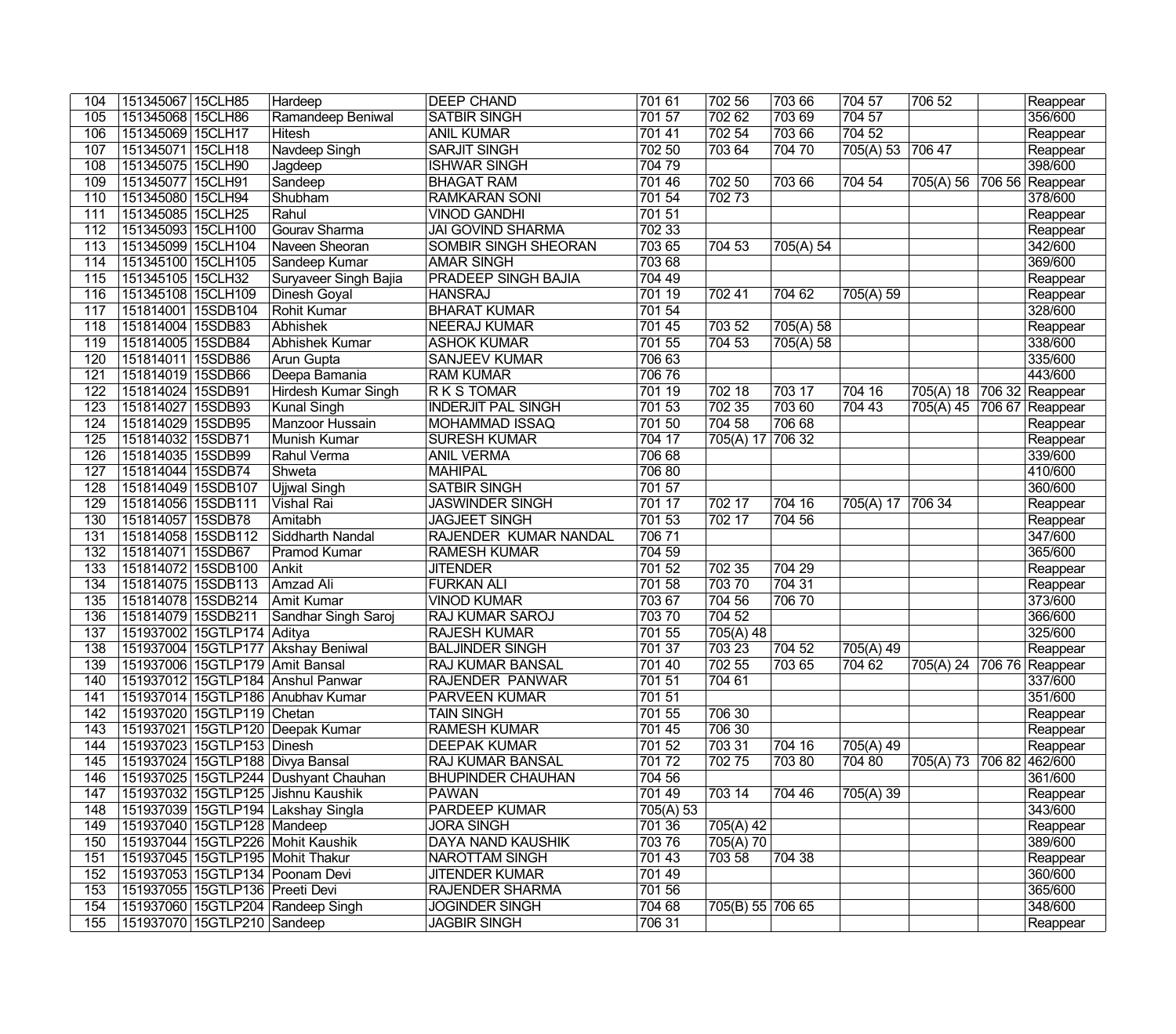| 104 | 151345067 15CLH85               | Hardeep                              | <b>DEEP CHAND</b>          | 701 61    | 702 56           | 703 66         | 704 57           | 706 52                    | Reappear        |
|-----|---------------------------------|--------------------------------------|----------------------------|-----------|------------------|----------------|------------------|---------------------------|-----------------|
| 105 | 151345068 15CLH86               | Ramandeep Beniwal                    | <b>SATBIR SINGH</b>        | 701 57    | 702 62           | 703 69         | 704 57           |                           | 356/600         |
| 106 | 151345069 15CLH17               | Hitesh                               | <b>ANIL KUMAR</b>          | 701 41    | 702 54           | 703 66         | 704 52           |                           | Reappear        |
| 107 | 151345071 15CLH18               | Navdeep Singh                        | <b>SARJIT SINGH</b>        | 702 50    | 703 64           | 704 70         | 705(A) 53 706 47 |                           | Reappear        |
| 108 | 151345075 15CLH90               | Jagdeep                              | <b>ISHWAR SINGH</b>        | 70479     |                  |                |                  |                           | 398/600         |
| 109 | 151345077 15CLH91               | Sandeep                              | <b>BHAGAT RAM</b>          | 701 46    | 702 50           | 703 66         | 704 54           | 705(A) 56 706 56 Reappear |                 |
| 110 | 151345080 15CLH94               | Shubham                              | <b>RAMKARAN SONI</b>       | 701 54    | 70273            |                |                  |                           | 378/600         |
| 111 | 151345085 15CLH25               | Rahul                                | <b>VINOD GANDHI</b>        | 701 51    |                  |                |                  |                           | Reappear        |
| 112 | 151345093 15CLH100              | Gourav Sharma                        | <b>JAI GOVIND SHARMA</b>   | 702 33    |                  |                |                  |                           | Reappear        |
| 113 | 151345099 15CLH104              | Naveen Sheoran                       | SOMBIR SINGH SHEORAN       | 703 65    | 704 53           | 705(A) 54      |                  |                           | 342/600         |
| 114 | 151345100 15CLH105              | Sandeep Kumar                        | <b>AMAR SINGH</b>          | 703 68    |                  |                |                  |                           | 369/600         |
| 115 | 151345105 15CLH32               | Suryaveer Singh Bajia                | <b>PRADEEP SINGH BAJIA</b> | 704 49    |                  |                |                  |                           | Reappear        |
| 116 | 151345108 15CLH109              | Dinesh Goyal                         | <b>HANSRAJ</b>             | 701 19    | 702 41           | 704 62         | 705(A) 59        |                           | Reappear        |
| 117 | 151814001 15SDB104              | Rohit Kumar                          | <b>BHARAT KUMAR</b>        | 701 54    |                  |                |                  |                           | 328/600         |
| 118 | 151814004 15SDB83               | Abhishek                             | <b>NEERAJ KUMAR</b>        | 701 45    | 703 52           | 705(A) 58      |                  |                           | Reappear        |
| 119 | 151814005 15SDB84               | Abhishek Kumar                       | <b>ASHOK KUMAR</b>         | 701 55    | 704 53           | 705(A) 58      |                  |                           | 338/600         |
| 120 | 151814011 15SDB86               | Arun Gupta                           | <b>SANJEEV KUMAR</b>       | 706 63    |                  |                |                  |                           | 335/600         |
| 121 | 151814019 15SDB66               | Deepa Bamania                        | <b>RAM KUMAR</b>           | 70676     |                  |                |                  |                           | 443/600         |
| 122 | 151814024 15SDB91               | <b>Hirdesh Kumar Singh</b>           | <b>RKSTOMAR</b>            | 701 19    | 702 18           | 703 17         | 704 16           | 705(A) 18 706 32 Reappear |                 |
| 123 | 151814027 15SDB93               | <b>Kunal Singh</b>                   | <b>INDERJIT PAL SINGH</b>  | 701 53    | 702 35           | 703 60         | 704 43           | 705(A) 45                 | 706 67 Reappear |
| 124 | 151814029 15SDB95               | Manzoor Hussain                      | <b>MOHAMMAD ISSAQ</b>      | 701 50    | 704 58           | 706 68         |                  |                           | Reappear        |
| 125 | 151814032 15SDB71               | <b>Munish Kumar</b>                  | <b>SURESH KUMAR</b>        | 704 17    | 705(A) 17 706 32 |                |                  |                           | Reappear        |
| 126 | 151814035 15SDB99               | Rahul Verma                          | <b>ANIL VERMA</b>          | 706 68    |                  |                |                  |                           | 339/600         |
| 127 | 151814044 15SDB74               | Shweta                               | <b>MAHIPAL</b>             | 706 80    |                  |                |                  |                           | 410/600         |
| 128 | 151814049 15SDB107              | Ujiwal Singh                         | <b>SATBIR SINGH</b>        | 701 57    |                  |                |                  |                           | 360/600         |
| 129 | 151814056 15SDB111              | Vishal Rai                           | <b>JASWINDER SINGH</b>     | 701 17    | 702 17           | 704 16         | 705(A) 17 706 34 |                           | Reappear        |
| 130 | 151814057 15SDB78               | Amitabh                              | <b>JAGJEET SINGH</b>       | 701 53    | 702 17           | 704 56         |                  |                           | Reappear        |
| 131 | 151814058 15SDB112              | Siddharth Nandal                     | RAJENDER KUMAR NANDAL      | 70671     |                  |                |                  |                           | 347/600         |
| 132 | 151814071 15SDB67               | <b>Pramod Kumar</b>                  | <b>RAMESH KUMAR</b>        | 704 59    |                  |                |                  |                           | 365/600         |
| 133 | 151814072 15SDB100              | Ankit                                | <b>JITENDER</b>            | 701 52    | 702 35           | 704 29         |                  |                           | Reappear        |
| 134 | 151814075 15SDB113              | Amzad Ali                            | <b>FURKAN ALI</b>          | 701 58    | 70370            | 704 31         |                  |                           | Reappear        |
| 135 | 151814078 15SDB214              | <b>Amit Kumar</b>                    | <b>VINOD KUMAR</b>         | 703 67    | 704 56           | 70670          |                  |                           | 373/600         |
| 136 | 151814079 15SDB211              | Sandhar Singh Saroj                  | <b>RAJ KUMAR SAROJ</b>     | 70370     | 704 52           |                |                  |                           | 366/600         |
| 137 | 151937002 15GTLP174 Aditya      |                                      | <b>RAJESH KUMAR</b>        | 701 55    | 705(A) 48        |                |                  |                           | 325/600         |
| 138 |                                 | 151937004 15GTLP177 Akshay Beniwal   | <b>BALJINDER SINGH</b>     | 701 37    | 703 23           | $\sqrt{7}0452$ | 705(A) 49        |                           | Reappear        |
| 139 |                                 | 151937006 15GTLP179 Amit Bansal      | <b>RAJ KUMAR BANSAL</b>    | 701 40    | 702 55           | 703 65         | 704 62           | 705(A) 24 706 76 Reappear |                 |
| 140 |                                 | 151937012 15GTLP184 Anshul Panwar    | RAJENDER PANWAR            | 701 51    | 704 61           |                |                  |                           | 337/600         |
| 141 |                                 | 151937014 15GTLP186 Anubhav Kumar    | <b>PARVEEN KUMAR</b>       | 701 51    |                  |                |                  |                           | 351/600         |
| 142 | 151937020   15GTLP119   Chetan  |                                      | TAIN SINGH                 | 701 55    | 706 30           |                |                  |                           | Reappear        |
| 143 |                                 | 151937021 15GTLP120 Deepak Kumar     | <b>RAMESH KUMAR</b>        | 701 45    | 706 30           |                |                  |                           | Reappear        |
| 144 | 151937023 15GTLP153 Dinesh      |                                      | <b>DEEPAK KUMAR</b>        | 701 52    | 703 31           | 704 16         | 705(A) 49        |                           | Reappear        |
| 145 |                                 | 151937024 15GTLP188 Divya Bansal     | <b>RAJ KUMAR BANSAL</b>    | 70172     | 702 75           | 70380          | 704 80           | 705(A) 73 706 82 462/600  |                 |
| 146 |                                 | 151937025 15GTLP244 Dushyant Chauhan | <b>BHUPINDER CHAUHAN</b>   | 704 56    |                  |                |                  |                           | 361/600         |
| 147 |                                 | 151937032 15GTLP125 Jishnu Kaushik   | PAWAN                      | 701 49    | 703 14           | 704 46         | 705(A) 39        |                           | Reappear        |
| 148 |                                 | 151937039 15GTLP194 Lakshay Singla   | <b>PARDEEP KUMAR</b>       | 705(A) 53 |                  |                |                  |                           | 343/600         |
| 149 | 151937040 15GTLP128 Mandeep     |                                      | <b>JORA SINGH</b>          | 701 36    | 705(A) 42        |                |                  |                           | Reappear        |
| 150 |                                 | 151937044 15GTLP226 Mohit Kaushik    | DAYA NAND KAUSHIK          | 70376     | 705(A) 70        |                |                  |                           | 389/600         |
| 151 |                                 | 151937045 15GTLP195 Mohit Thakur     | <b>NAROTTAM SINGH</b>      | 701 43    | 703 58           | 704 38         |                  |                           | Reappear        |
| 152 |                                 | 151937053 15GTLP134 Poonam Devi      | <b>JITENDER KUMAR</b>      | 701 49    |                  |                |                  |                           | 360/600         |
| 153 | 151937055 15GTLP136 Preeti Devi |                                      | <b>RAJENDER SHARMA</b>     | 701 56    |                  |                |                  |                           | 365/600         |
| 154 |                                 | 151937060 15GTLP204 Randeep Singh    | <b>JOGINDER SINGH</b>      | 704 68    | 705(B) 55 706 65 |                |                  |                           | 348/600         |
| 155 | 151937070 15GTLP210 Sandeep     |                                      | <b>JAGBIR SINGH</b>        | 706 31    |                  |                |                  |                           | Reappear        |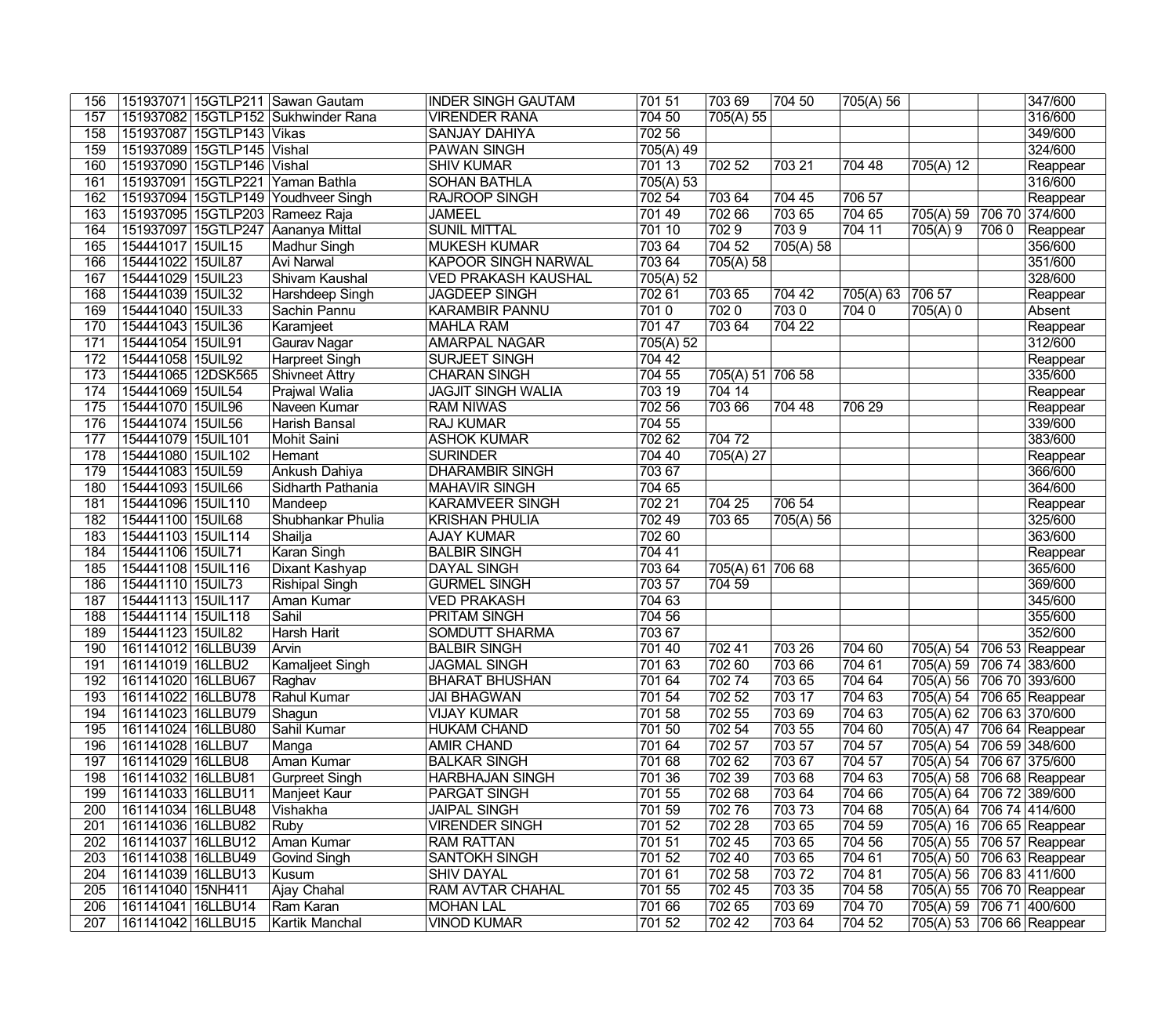| 156              |                           |                            | 151937071 15GTLP211 Sawan Gautam    | <b>INDER SINGH GAUTAM</b>  | 701 51    | 703 69           | 704 50             | 705(A) 56 |                           |      | 347/600             |
|------------------|---------------------------|----------------------------|-------------------------------------|----------------------------|-----------|------------------|--------------------|-----------|---------------------------|------|---------------------|
| 157              |                           |                            | 151937082 15GTLP152 Sukhwinder Rana | <b>VIRENDER RANA</b>       | 704 50    | 705(A) 55        |                    |           |                           |      | 316/600             |
| 158              |                           | 151937087 15GTLP143 Vikas  |                                     | <b>SANJAY DAHIYA</b>       | 702 56    |                  |                    |           |                           |      | 349/600             |
| 159              |                           | 151937089 15GTLP145 Vishal |                                     | <b>PAWAN SINGH</b>         | 705(A) 49 |                  |                    |           |                           |      | 324/600             |
| 160              |                           | 151937090 15GTLP146 Vishal |                                     | <b>SHIV KUMAR</b>          | 701 13    | 702 52           | 703 21             | 704 48    | 705(A) 12                 |      | Reappear            |
| 161              |                           |                            | 151937091 15GTLP221 Yaman Bathla    | <b>SOHAN BATHLA</b>        | 705(A) 53 |                  |                    |           |                           |      | 316/600             |
| 162              |                           |                            | 151937094 15GTLP149 Youdhveer Singh | <b>RAJROOP SINGH</b>       | 702 54    | 703 64           | 704 45             | 706 57    |                           |      | Reappear            |
| 163              |                           |                            | 151937095 15GTLP203 Rameez Raja     | <b>JAMEEL</b>              | 701 49    | 702 66           | 703 65             | 704 65    | 705(A) 59                 |      | 706 70 374/600      |
| 164              |                           |                            | 151937097 15GTLP247 Aananya Mittal  | <b>SUNIL MITTAL</b>        | 701 10    | 7029             | 7039               | 704 11    | 705(A)9                   | 7060 | Reappear            |
| 165              | 154441017 15UIL15         |                            | Madhur Singh                        | <b>MUKESH KUMAR</b>        | 703 64    | 704 52           | $\sqrt{705(A)}$ 58 |           |                           |      | 356/600             |
| 166              | 154441022 15UIL87         |                            | <b>Avi Narwal</b>                   | <b>KAPOOR SINGH NARWAL</b> | 703 64    | 705(A) 58        |                    |           |                           |      | 351/600             |
| 167              | 154441029 15UIL23         |                            | Shivam Kaushal                      | <b>VED PRAKASH KAUSHAL</b> | 705(A) 52 |                  |                    |           |                           |      | 328/600             |
| 168              | 154441039 15UIL32         |                            | Harshdeep Singh                     | <b>JAGDEEP SINGH</b>       | 702 61    | 703 65           | 704 42             | 705(A) 63 | 706 57                    |      | Reappear            |
| 169              | 154441040 15UIL33         |                            | Sachin Pannu                        | <b>KARAMBIR PANNU</b>      | 7010      | 7020             | 7030               | 7040      | 705(A) 0                  |      | Absent              |
| 170              | 154441043 15UIL36         |                            | Karamjeet                           | <b>MAHLA RAM</b>           | 701 47    | 703 64           | 704 22             |           |                           |      | Reappear            |
| 171              | 154441054 15UIL91         |                            | Gaurav Nagar                        | <b>AMARPAL NAGAR</b>       | 705(A) 52 |                  |                    |           |                           |      | 312/600             |
| 172              | 154441058 15UIL92         |                            | <b>Harpreet Singh</b>               | <b>SURJEET SINGH</b>       | 704 42    |                  |                    |           |                           |      | Reappear            |
| 173              | 154441065 12DSK565        |                            | <b>Shivneet Attry</b>               | <b>CHARAN SINGH</b>        | 704 55    | 705(A) 51 706 58 |                    |           |                           |      | 335/600             |
| 174              | 154441069 15UIL54         |                            | <b>Prajwal Walia</b>                | <b>JAGJIT SINGH WALIA</b>  | 703 19    | 704 14           |                    |           |                           |      | Reappear            |
| 175              | 154441070 15UIL96         |                            | Naveen Kumar                        | <b>RAM NIWAS</b>           | 702 56    | 703 66           | 704 48             | 706 29    |                           |      | Reappear            |
| 176              | 154441074 15UIL56         |                            | Harish Bansal                       | <b>RAJ KUMAR</b>           | 704 55    |                  |                    |           |                           |      | 339/600             |
| 177              | 154441079 15UIL101        |                            | <b>Mohit Saini</b>                  | <b>ASHOK KUMAR</b>         | 702 62    | 704 72           |                    |           |                           |      | 383/600             |
| 178              | 154441080 15UIL102        |                            | Hemant                              | <b>SURINDER</b>            | 704 40    | 705(A) 27        |                    |           |                           |      | Reappear            |
| 179              | 154441083 15UIL59         |                            | Ankush Dahiya                       | <b>DHARAMBIR SINGH</b>     | 703 67    |                  |                    |           |                           |      | 366/600             |
| 180              | 154441093 15UIL66         |                            | Sidharth Pathania                   | <b>MAHAVIR SINGH</b>       | 704 65    |                  |                    |           |                           |      | 364/600             |
| 181              | 154441096 15UIL110        |                            | Mandeep                             | <b>KARAMVEER SINGH</b>     | 702 21    | 704 25           | 706 54             |           |                           |      | Reappear            |
| 182              | 154441100 15UIL68         |                            | Shubhankar Phulia                   | <b>KRISHAN PHULIA</b>      | 702 49    | 703 65           | 705(A) 56          |           |                           |      | 325/600             |
| 183              | 154441103 15UIL114        |                            | Shailja                             | <b>AJAY KUMAR</b>          | 702 60    |                  |                    |           |                           |      | 363/600             |
| 184              | 154441106 15UIL71         |                            | Karan Singh                         | <b>BALBIR SINGH</b>        | 704 41    |                  |                    |           |                           |      | Reappear            |
| 185              | 154441108 15UIL116        |                            | Dixant Kashyap                      | <b>DAYAL SINGH</b>         | 703 64    | 705(A) 61 706 68 |                    |           |                           |      | 365/600             |
| 186              | 154441110 15UIL73         |                            | Rishipal Singh                      | <b>GURMEL SINGH</b>        | 703 57    | 704 59           |                    |           |                           |      | 369/600             |
| $\overline{187}$ | 154441113 15UIL117        |                            | <b>Aman Kumar</b>                   | <b>VED PRAKASH</b>         | 704 63    |                  |                    |           |                           |      | 345/600             |
| 188              | 154441114 15UIL118        |                            | Sahil                               | <b>PRITAM SINGH</b>        | 704 56    |                  |                    |           |                           |      | 355/600             |
| 189              | 154441123 15UIL82         |                            | Harsh Harit                         | <b>SOMDUTT SHARMA</b>      | 703 67    |                  |                    |           |                           |      | 352/600             |
| 190              | 161141012 16LLBU39        |                            | Arvin                               | <b>BALBIR SINGH</b>        | 701 40    | 702 41           | 703 26             | 704 60    | 705(A) 54                 |      | 706 53 Reappear     |
| 191              | 161141019 16LLBU2         |                            | Kamaljeet Singh                     | <b>JAGMAL SINGH</b>        | 701 63    | 70260            | 703 66             | 704 61    | 705(A) 59 706 74 383/600  |      |                     |
| 192              | 161141020 16LLBU67 Raghav |                            |                                     | <b>BHARAT BHUSHAN</b>      | 701 64    | 70274            | 703 65             | 704 64    | 705(A) 56 706 70 393/600  |      |                     |
| 193              | 161141022 16LLBU78        |                            | Rahul Kumar                         | JAI BHAGWAN                | 701 54    | 702 52           | 703 17             | 704 63    | 705(A) 54 706 65 Reappear |      |                     |
| 194              | 161141023 16LLBU79        |                            | Shagun                              | <b>VIJAY KUMAR</b>         | 701 58    | 702 55           | 703 69             | 704 63    | 705(A) 62 706 63 370/600  |      |                     |
| 195              | 161141024 16LLBU80        |                            | Sahil Kumar                         | <b>HUKAM CHAND</b>         | 701 50    | 702 54           | 703 55             | 704 60    | 705(A) 47                 |      | 706 64 Reappear     |
| 196              | 161141028 16LLBU7         |                            | Manga                               | <b>AMIR CHAND</b>          | 701 64    | 702 57           | 703 57             | 704 57    | 705(A) 54 706 59 348/600  |      |                     |
| 197              | 161141029 16LLBU8         |                            | Aman Kumar                          | <b>BALKAR SINGH</b>        | 701 68    | 702 62           | 703 67             | 704 57    | 705(A) 54 706 67 375/600  |      |                     |
| 198              | 161141032 16LLBU81        |                            | Gurpreet Singh                      | <b>HARBHAJAN SINGH</b>     | 701 36    | 702 39           | 703 68             | 704 63    | 705(A) 58                 |      | $ 706 68 $ Reappear |
| 199              | 161141033 16LLBU11        |                            | Manjeet Kaur                        | <b>PARGAT SINGH</b>        | 701 55    | 702 68           | 703 64             | 704 66    | 705(A) 64 706 72 389/600  |      |                     |
| 200              | 161141034   16LLBU48      |                            | Vishakha                            | <b>JAIPAL SINGH</b>        | 701 59    | 70276            | 70373              | 704 68    | 705(A) 64 706 74 414/600  |      |                     |
| 201              | 161141036 16LLBU82        |                            | Ruby                                | <b>VIRENDER SINGH</b>      | 701 52    | 702 28           | 703 65             | 704 59    | 705(A) 16 706 65 Reappear |      |                     |
| 202              | 161141037 16LLBU12        |                            | Aman Kumar                          | <b>RAM RATTAN</b>          | 701 51    | 702 45           | 703 65             | 704 56    | 705(A) 55 706 57 Reappear |      |                     |
| 203              | 161141038 16LLBU49        |                            | Govind Singh                        | <b>SANTOKH SINGH</b>       | 701 52    | 702 40           | 703 65             | 704 61    | 705(A) 50                 |      | 706 63 Reappear     |
| 204              | 161141039 16LLBU13        |                            | Kusum                               | <b>SHIV DAYAL</b>          | 701 61    | 702 58           | 70372              | 704 81    | 705(A) 56                 |      | 706 83 411/600      |
| 205              | 161141040 15NH411         |                            | Ajay Chahal                         | <b>RAM AVTAR CHAHAL</b>    | 701 55    | 702 45           | 703 35             | 704 58    | 705(A) 55 706 70 Reappear |      |                     |
| 206              | 161141041 16LLBU14        |                            | Ram Karan                           | <b>MOHAN LAL</b>           | 701 66    | 702 65           | 703 69             | 704 70    | 705(A) 59                 |      | 706 71 400/600      |
| 207              | 161141042 16LLBU15        |                            | Kartik Manchal                      | <b>VINOD KUMAR</b>         | 701 52    | 702 42           | 703 64             | 704 52    | 705(A) 53 706 66 Reappear |      |                     |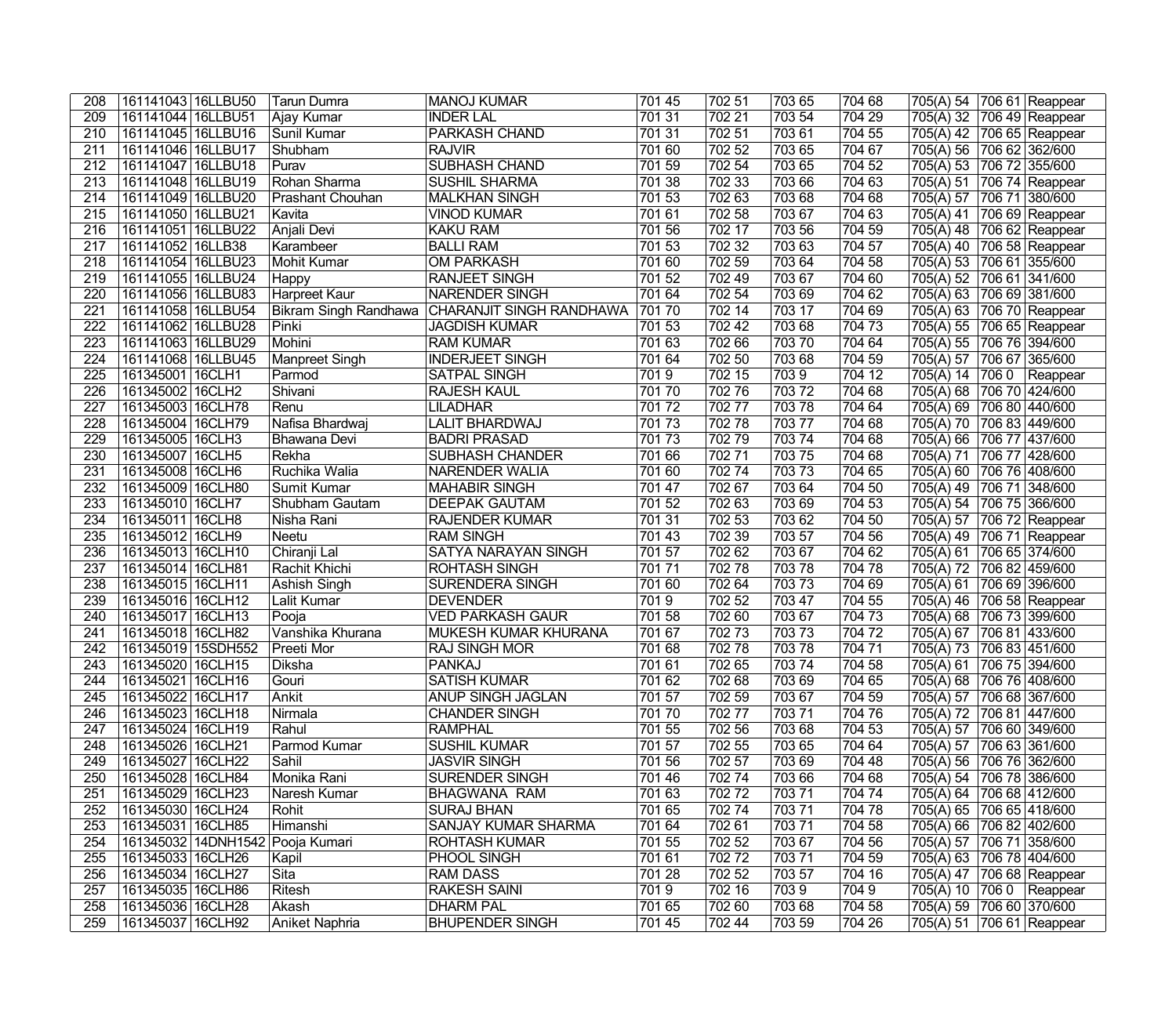| 208              | 161141043   16LLBU50                   | <b>Tarun Dumra</b>               | MANOJ KUMAR                                  | 701 45           | 702 51 | 703 65          | 704 68 | 705(A) 54 706 61 Reappear |      |                                  |
|------------------|----------------------------------------|----------------------------------|----------------------------------------------|------------------|--------|-----------------|--------|---------------------------|------|----------------------------------|
| 209              | 161141044 16LLBU51                     | Ajay Kumar                       | <b>INDER LAL</b>                             | 701 31           | 702 21 | 703 54          | 704 29 | 705(A) 32                 |      | 706 49 Reappear                  |
| 210              | 161141045 16LLBU16                     | Sunil Kumar                      | PARKASH CHAND                                | 701 31           | 702 51 | 70361           | 704 55 | 705(A) 42                 |      | 706 65 Reappear                  |
| 211              | 161141046 16LLBU17                     | Shubham                          | <b>RAJVIR</b>                                | 701 60           | 702 52 | 703 65          | 704 67 | 705(A) 56                 |      | 706 62 362/600                   |
| 212              | 161141047 16LLBU18                     | Purav                            | <b>SUBHASH CHAND</b>                         | 701 59           | 702 54 | 703 65          | 704 52 | 705(A) 53                 |      | 706 72 355/600                   |
| $\overline{213}$ | 161141048 16LLBU19                     | Rohan Sharma                     | <b>SUSHIL SHARMA</b>                         | 701 38           | 702 33 | 703 66          | 704 63 | 705(A) 51                 |      | 706 74 Reappear                  |
| 214              | 161141049 16LLBU20                     | Prashant Chouhan                 | <b>MALKHAN SINGH</b>                         | 701 53           | 702 63 | 703 68          | 704 68 | 705(A) 57                 |      | 706 71 380/600                   |
| 215              | 161141050 16LLBU21                     | Kavita                           | <b>VINOD KUMAR</b>                           | 701 61           | 702 58 | 703 67          | 704 63 | 705(A) 41                 |      | 706 69 Reappear                  |
| 216              | 161141051 16LLBU22                     | Anjali Devi                      | <b>KAKU RAM</b>                              | 701 56           | 702 17 | 703 56          | 704 59 | 705(A) 48                 |      | 706 62 Reappear                  |
| 217              | 161141052 16LLB38                      | Karambeer                        | <b>BALLI RAM</b>                             | 701 53           | 702 32 | 70363           | 704 57 | 705(A) 40                 |      | 706 58 Reappear                  |
| 218              | 161141054 16LLBU23                     | Mohit Kumar                      | <b>OM PARKASH</b>                            | 701 60           | 702 59 | 703 64          | 704 58 | 705(A) 53                 |      | 706 61 355/600                   |
| 219              | 161141055 16LLBU24                     | Happy                            | <b>RANJEET SINGH</b>                         | 701 52           | 702 49 | 70367           | 704 60 | 705(A) 52                 |      | 706 61 341/600                   |
| 220              | 161141056 16LLBU83                     | Harpreet Kaur                    | <b>NARENDER SINGH</b>                        | 701 64           | 702 54 | 70369           | 704 62 | 705(A) 63                 |      | 706 69 381/600                   |
| $\overline{221}$ | 161141058 16LLBU54                     | Bikram Singh Randhawa            | CHARANJIT SINGH RANDHAWA                     | 70170            | 702 14 | 703 17          | 704 69 | 705(A) 63                 |      | 706 70 Reappear                  |
| 222              | 161141062 16LLBU28                     | Pinki                            | <b>JAGDISH KUMAR</b>                         | 701 53           | 702 42 | 70368           | 704 73 | 705(A) 55                 |      | 706 65 Reappear                  |
| $\overline{223}$ | 161141063 16LLBU29                     | Mohini                           | <b>RAM KUMAR</b>                             | 701 63           | 702 66 | 70370           | 704 64 | 705(A) 55                 |      | 706 76 394/600                   |
| 224              | 161141068 16LLBU45                     | Manpreet Singh                   | <b>INDERJEET SINGH</b>                       | 701 64           | 702 50 | 703 68          | 704 59 | 705(A) 57                 |      | 706 67 365/600                   |
| $\overline{225}$ | 161345001 16CLH1                       | Parmod                           | <b>SATPAL SINGH</b>                          | 7019             | 702 15 | 7039            | 704 12 | 705(A) 14                 | 7060 | Reappear                         |
| 226              | 161345002 16CLH2                       | Shivani                          | <b>RAJESH KAUL</b>                           | 70170            | 70276  | 70372           | 704 68 | 705(A) 68                 |      | 706 70 424/600                   |
| 227              | 161345003 16CLH78                      | Renu                             | <b>LILADHAR</b>                              | 70172            | 70277  | 70378           | 704 64 | 705(A) 69                 |      | 706 80 440/600                   |
| 228              | 161345004   16CLH79                    | Nafisa Bhardwaj                  | <b>LALIT BHARDWAJ</b>                        | 70173            | 70278  | 70377           | 704 68 | 705(A) 70                 |      | 706 83 449/600                   |
| 229              | 161345005 16CLH3                       | <b>Bhawana Devi</b>              | <b>BADRI PRASAD</b>                          | 701 73           | 70279  | 70374           | 704 68 | 705(A) 66                 |      | 706 77 437/600                   |
| 230              | 161345007 16CLH5                       | Rekha                            | <b>SUBHASH CHANDER</b>                       | 701 66           | 70271  | 70375           | 704 68 | 705(A) 71                 |      | 706 77 428/600                   |
| $\overline{231}$ | 161345008 16CLH6                       | Ruchika Walia                    | <b>NARENDER WALIA</b>                        | 701 60           | 70274  | 70373           | 704 65 | 705(A) 60                 |      | 706 76 408/600                   |
| 232              | 161345009 16CLH80                      | Sumit Kumar                      | <b>MAHABIR SINGH</b>                         | 70147            | 702 67 | 703 64          | 704 50 | 705(A) 49                 |      | 706 71 348/600                   |
| 233              | 161345010 16CLH7                       | Shubham Gautam                   | <b>DEEPAK GAUTAM</b>                         | 701 52           | 702 63 | 70369           | 704 53 | 705(A) 54                 |      | 706 75 366/600                   |
| 234              | 161345011   16CLH8                     | Nisha Rani                       | <b>RAJENDER KUMAR</b>                        | 701 31           | 702 53 | 703 62          | 704 50 | 705(A) 57                 |      | 706 72 Reappear                  |
| 235              | 161345012 16CLH9                       | Neetu                            | <b>RAM SINGH</b>                             | 701 43           | 702 39 | 703 57          | 704 56 | 705(A) 49                 |      | 706 71 Reappear                  |
| 236              | 161345013 16CLH10                      | Chiranji Lal                     | SATYA NARAYAN SINGH                          | 701 57           | 702 62 | 703 67          | 704 62 | 705(A) 61                 |      | 706 65 374/600                   |
| 237              | 161345014 16CLH81                      | Rachit Khichi                    | <b>ROHTASH SINGH</b>                         | 70171            | 70278  | 70378           | 704 78 | 705(A) 72                 |      | 706 82 459/600                   |
| 238              | 161345015 16CLH11                      | Ashish Singh                     | SURENDERA SINGH                              | 701 60           | 702 64 | 70373           | 704 69 | 705(A) 61                 |      | 706 69 396/600                   |
| 239              | 161345016 16CLH12                      | <b>Lalit Kumar</b>               | <b>DEVENDER</b>                              | 7019             | 702 52 | 703 47          | 704 55 | 705(A) 46                 |      | 706 58 Reappear                  |
| 240              | 161345017 16CLH13                      | Pooja                            | <b>VED PARKASH GAUR</b>                      | 701 58           | 702 60 | 70367           | 704 73 | 705(A) 68                 |      | 706 73 399/600                   |
| 241              | 161345018 16CLH82                      | Vanshika Khurana                 | <b>MUKESH KUMAR KHURANA</b>                  | 701 67           | 70273  | 70373           | 704 72 | 705(A) 67                 |      | 706 81 433/600                   |
| 242              | 161345019 15SDH552                     | Preeti Mor                       | <b>RAJ SINGH MOR</b>                         | 701 68           | 70278  | 70378           | 704 71 | 705(A) 73                 |      | 706 83 451/600                   |
| $\overline{243}$ | 161345020 16CLH15                      | Diksha                           | PANKAJ                                       | 70161            | 702 65 | 70374           | 704 58 | 705(A) 61                 |      | 706 75 394/600                   |
| 244              | 161345021 16CLH16                      | Gouri                            | <b>SATISH KUMAR</b>                          | 701 62           | 702 68 | 703 69          | 704 65 | 705(A) 68 706 76 408/600  |      |                                  |
| 245              | 161345022 16CLH17                      | Ankit                            | ANUP SINGH JAGLAN                            | 701 57           | 702 59 | 703 67          | 704 59 | 705(A) 57 706 68 367/600  |      |                                  |
| 246              | 161345023 16CLH18                      | Nirmala                          | <b>CHANDER SINGH</b>                         | 70170            | 70277  | 70371           | 704 76 | 705(A) 72                 |      | 706 81 447/600                   |
| 247              | 161345024 16CLH19                      | Rahul                            | <b>RAMPHAL</b>                               | 701 55           | 702 56 | 703 68          | 704 53 | 705(A) 57                 |      | 706 60 349/600                   |
| 248              | 161345026 16CLH21                      | Parmod Kumar                     | <b>SUSHIL KUMAR</b>                          | 701 57           | 702 55 | 703 65          | 704 64 | 705(A) 57                 |      | 706 63 361/600                   |
| 249              | 161345027   16CLH22                    | Sahil                            | <b>JASVIR SINGH</b>                          | 701 56           | 702 57 | 70369           | 704 48 | 705(A) 56                 |      | 706 76 362/600                   |
|                  |                                        |                                  |                                              |                  | 70274  |                 | 704 68 |                           |      |                                  |
| 250<br>251       | 161345028 16CLH84<br>161345029 16CLH23 | Monika Rani<br>Naresh Kumar      | <b>SURENDER SINGH</b><br><b>BHAGWANA RAM</b> | 701 46<br>701 63 | 70272  | 703 66<br>70371 | 704 74 | 705(A) 54                 |      | 706 78 386/600<br>706 68 412/600 |
|                  |                                        |                                  |                                              |                  |        |                 |        | 705(A) 64                 |      |                                  |
| 252              | 161345030 16CLH24                      | Rohit                            | <b>SURAJ BHAN</b>                            | 701 65           | 702 74 | 703 71          | 704 78 | 705(A) 65                 |      | 706 65 418/600                   |
| 253              | 161345031 16CLH85                      | Himanshi                         | SANJAY KUMAR SHARMA                          | 701 64           | 702 61 | 703 71          | 704 58 | 705(A) 66                 |      | 706 82 402/600                   |
| 254              |                                        | 161345032 14DNH1542 Pooja Kumari | ROHTASH KUMAR                                | 701 55           | 702 52 | 70367           | 704 56 | 705(A) 57                 |      | 706 71 358/600                   |
| 255              | 161345033 16CLH26                      | Kapil                            | PHOOL SINGH                                  | 70161            | 70272  | 703 71          | 704 59 | 705(A) 63                 |      | 706 78 404/600                   |
| 256              | 161345034 16CLH27                      | <b>Sita</b>                      | <b>RAM DASS</b>                              | 701 28           | 702 52 | 703 57          | 704 16 | 705(A) 47                 |      | 706 68 Reappear                  |
| 257              | 161345035 16CLH86                      | Ritesh                           | <b>RAKESH SAINI</b>                          | 7019             | 702 16 | 7039            | 7049   | 705(A) 10                 |      | 7060 Reappear                    |
| 258              | 161345036 16CLH28                      | Akash                            | <b>DHARM PAL</b>                             | 701 65           | 702 60 | 70368           | 704 58 | 705(A) 59                 |      | 706 60 370/600                   |
| 259              | 161345037 16CLH92                      | Aniket Naphria                   | <b>BHUPENDER SINGH</b>                       | 701 45           | 702 44 | 703 59          | 704 26 | 705(A) 51                 |      | 706 61 Reappear                  |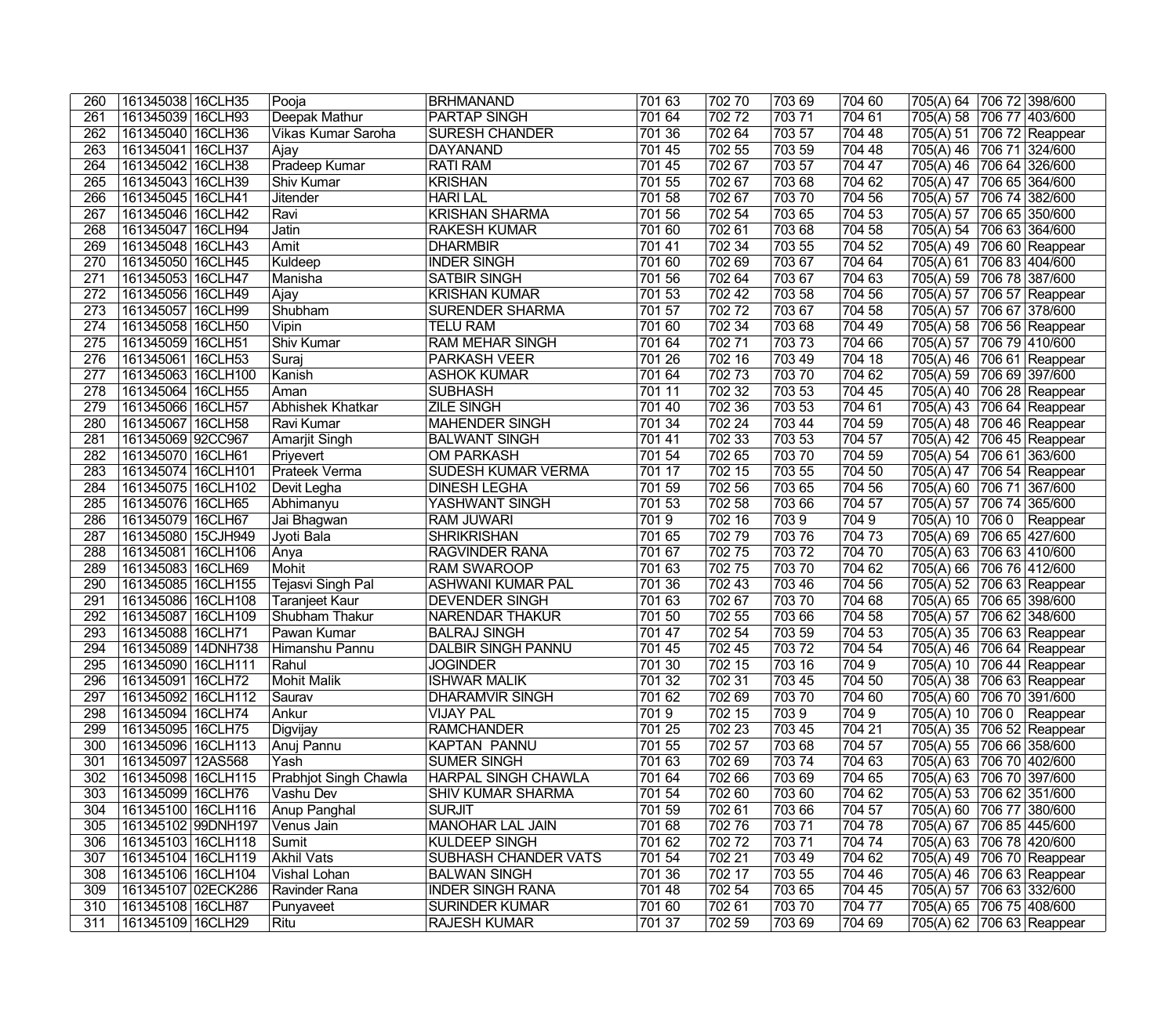| 260              | 161345038   16CLH35  | Pooja                 | <b>BRHMANAND</b>           | 701 63 | 702 70 | 703 69 | 704 60 | 705(A) 64                 | 706 72 398/600               |
|------------------|----------------------|-----------------------|----------------------------|--------|--------|--------|--------|---------------------------|------------------------------|
| $\overline{261}$ | 161345039 16CLH93    | Deepak Mathur         | <b>PARTAP SINGH</b>        | 701 64 | 70272  | 70371  | 704 61 | 705(A) 58                 | 706 77 403/600               |
| 262              | 161345040 16CLH36    | Vikas Kumar Saroha    | <b>SURESH CHANDER</b>      | 701 36 | 702 64 | 703 57 | 704 48 | 705(A) 51                 | 706 72 Reappear              |
| 263              | 161345041 16CLH37    | Ajay                  | DAYANAND                   | 701 45 | 702 55 | 703 59 | 704 48 | 705(A) 46                 | 706 71 324/600               |
| 264              | 161345042 16CLH38    | <b>Pradeep Kumar</b>  | <b>RATI RAM</b>            | 701 45 | 702 67 | 703 57 | 704 47 | 705(A) 46                 | 706 64 326/600               |
| 265              | 161345043 16CLH39    | <b>Shiv Kumar</b>     | <b>KRISHAN</b>             | 701 55 | 702 67 | 70368  | 704 62 | 705(A) 47                 | 706 65 364/600               |
| 266              | 161345045 16CLH41    | <b>Jitender</b>       | <b>HARI LAL</b>            | 701 58 | 70267  | 70370  | 704 56 | 705(A) 57                 | 706 74 382/600               |
| 267              | 161345046 16CLH42    | Ravi                  | <b>KRISHAN SHARMA</b>      | 701 56 | 702 54 | 703 65 | 704 53 | 705(A) 57                 | 706 65 350/600               |
| 268              | 161345047   16CLH94  | Jatin                 | <b>RAKESH KUMAR</b>        | 701 60 | 70261  | 70368  | 704 58 | 705(A) 54                 | 706 63 364/600               |
| 269              | 161345048 16CLH43    | Amit                  | <b>DHARMBIR</b>            | 701 41 | 702 34 | 703 55 | 704 52 | 705(A) 49                 | 706 60 Reappear              |
| 270              | 161345050 16CLH45    | Kuldeep               | <b>INDER SINGH</b>         | 701 60 | 702 69 | 703 67 | 704 64 | 705(A) 61                 | 706 83 404/600               |
| 271              | 161345053 16CLH47    | Manisha               | <b>SATBIR SINGH</b>        | 701 56 | 702 64 | 703 67 | 704 63 | 705(A) 59                 | 706 78 387/600               |
| $\overline{272}$ | 161345056 16CLH49    | Ajay                  | <b>KRISHAN KUMAR</b>       | 701 53 | 702 42 | 703 58 | 704 56 | 705(A) 57                 | 706 57 Reappear              |
| 273              | 161345057 16CLH99    | Shubham               | <b>SURENDER SHARMA</b>     | 701 57 | 70272  | 703 67 | 704 58 | 705(A) 57                 | 706 67 378/600               |
| 274              | 161345058 16CLH50    | Vipin                 | <b>TELU RAM</b>            | 701 60 | 702 34 | 703 68 | 704 49 | 705(A) 58                 | 706 56 Reappear              |
| $\overline{275}$ | 161345059 16CLH51    | Shiv Kumar            | <b>RAM MEHAR SINGH</b>     | 701 64 | 70271  | 70373  | 704 66 | 705(A) 57                 | 706 79 410/600               |
| $\overline{276}$ | 161345061 16CLH53    | Suraj                 | <b>PARKASH VEER</b>        | 701 26 | 702 16 | 703 49 | 704 18 | 705(A) 46                 | 706 61 Reappear              |
| 277              | 161345063 16CLH100   | Kanish                | <b>ASHOK KUMAR</b>         | 701 64 | 70273  | 70370  | 704 62 | 705(A) 59                 | 706 69 397/600               |
| $\overline{278}$ | 161345064 16CLH55    | Aman                  | <b>SUBHASH</b>             | 701 11 | 702 32 | 703 53 | 704 45 | 705(A) 40                 | 706 28 Reappear              |
| $\overline{279}$ | 161345066 16CLH57    | Abhishek Khatkar      | <b>ZILE SINGH</b>          | 701 40 | 702 36 | 703 53 | 704 61 | 705(A) 43                 | 706 64 Reappear              |
| 280              | 161345067 16CLH58    | Ravi Kumar            | <b>MAHENDER SINGH</b>      | 701 34 | 702 24 | 703 44 | 704 59 | 705(A) 48                 | 706 46 Reappear              |
| $\overline{281}$ | 161345069 92CC967    | Amarjit Singh         | <b>BALWANT SINGH</b>       | 701 41 | 702 33 | 703 53 | 704 57 | 705(A) 42                 | 706 45 Reappear              |
| 282              | 161345070 16CLH61    | Priyevert             | OM PARKASH                 | 701 54 | 702 65 | 70370  | 704 59 | 705(A) 54                 | 706 61 363/600               |
| 283              | 161345074 16CLH101   | Prateek Verma         | <b>SUDESH KUMAR VERMA</b>  | 701 17 | 702 15 | 703 55 | 704 50 | 705(A) 47                 | $\overline{706}$ 54 Reappear |
| 284              | 161345075 16CLH102   | Devit Legha           | <b>DINESH LEGHA</b>        | 701 59 | 702 56 | 703 65 | 704 56 | 705(A) 60                 | 706 71 367/600               |
| 285              | 161345076 16CLH65    | Abhimanyu             | YASHWANT SINGH             | 701 53 | 702 58 | 703 66 | 704 57 | 705(A) 57                 | 706 74 365/600               |
| 286              | 161345079 16CLH67    | Jai Bhagwan           | <b>RAM JUWARI</b>          | 7019   | 702 16 | 7039   | 7049   | 705(A) 10                 | 7060 Reappear                |
| 287              | 161345080 15CJH949   | Jyoti Bala            | <b>SHRIKRISHAN</b>         | 701 65 | 70279  | 703 76 | 704 73 | 705(A) 69                 | 706 65 427/600               |
| 288              | 161345081 16CLH106   | Anya                  | <b>RAGVINDER RANA</b>      | 701 67 | 70275  | 70372  | 70470  | 705(A) 63                 | 706 63 410/600               |
| 289              | 161345083 16CLH69    | Mohit                 | <b>RAM SWAROOP</b>         | 701 63 | 70275  | 70370  | 704 62 | 705(A) 66                 | 706 76 412/600               |
| 290              | 161345085   16CLH155 | Tejasvi Singh Pal     | ASHWANI KUMAR PAL          | 701 36 | 702 43 | 703 46 | 704 56 | 705(A) 52                 | 706 63 Reappear              |
| $\overline{291}$ | 161345086 16CLH108   | <b>Taranjeet Kaur</b> | <b>DEVENDER SINGH</b>      | 701 63 | 702 67 | 70370  | 704 68 | 705(A) 65                 | 706 65 398/600               |
| $\overline{292}$ | 161345087 16CLH109   | Shubham Thakur        | <b>NARENDAR THAKUR</b>     | 701 50 | 702 55 | 703 66 | 704 58 | 705(A) 57                 | 706 62 348/600               |
| 293              | 161345088 16CLH71    | Pawan Kumar           | <b>BALRAJ SINGH</b>        | 701 47 | 702 54 | 703 59 | 704 53 | 705(A) 35                 | 706 63 Reappear              |
| 294              | 161345089 14DNH738   | Himanshu Pannu        | <b>DALBIR SINGH PANNU</b>  | 701 45 | 702 45 | 70372  | 704 54 | 705(A) 46                 | 706 64 Reappear              |
| 295              | 161345090 16CLH111   | Rahul                 | <b>JOGINDER</b>            | 701 30 | 702 15 | 703 16 | 7049   | 705(A) 10 706 44 Reappear |                              |
| 296              | 161345091 16CLH72    | Mohit Malik           | <b>ISHWAR MALIK</b>        | 701 32 | 702 31 | 70345  | 704 50 | 705(A) 38 706 63 Reappear |                              |
| 297              | 161345092 16CLH112   | Saurav                | <b>DHARAMVIR SINGH</b>     | 701 62 | 702 69 | 70370  | 704 60 | 705(A) 60 706 70 391/600  |                              |
| 298              | 161345094 16CLH74    | Ankur                 | <b>VIJAY PAL</b>           | 7019   | 702 15 | 7039   | 7049   | 705(A) 10 706 0 Reappear  |                              |
| 299              | 161345095 16CLH75    | Digvijay              | <b>RAMCHANDER</b>          | 701 25 | 702 23 | 703 45 | 704 21 | 705(A) 35 706 52 Reappear |                              |
| 300              | 161345096 16CLH113   | Anui Pannu            | <b>KAPTAN PANNU</b>        | 701 55 | 702 57 | 703 68 | 704 57 | 705(A) 55 706 66 358/600  |                              |
| 301              | 161345097   12AS568  | Yash                  | <b>SUMER SINGH</b>         | 701 63 | 702 69 | 70374  | 704 63 | 705(A) 63 706 70 402/600  |                              |
| 302              | 161345098   16CLH115 | Prabhjot Singh Chawla | <b>HARPAL SINGH CHAWLA</b> | 701 64 | 702 66 | 703 69 | 704 65 | 705(A) 63 706 70 397/600  |                              |
| 303              | 161345099 16CLH76    | Vashu Dev             | <b>SHIV KUMAR SHARMA</b>   | 701 54 | 702 60 | 703 60 | 704 62 | 705(A) 53 706 62 351/600  |                              |
| 304              | 161345100 16CLH116   | Anup Panghal          | SURJIT                     | 70159  | 702 61 | 703 66 | 704 57 | 705(A) 60 706 77 380/600  |                              |
| 305              | 161345102 99DNH197   | Venus Jain            | <b>MANOHAR LAL JAIN</b>    | 701 68 | 70276  | 70371  | 704 78 | 705(A) 67                 | 706 85 445/600               |
| 306              | 161345103   16CLH118 | Sumit                 | KULDEEP SINGH              | 701 62 | 70272  | 70371  | 704 74 | 705(A) 63                 | 706 78 420/600               |
| 307              | 161345104   16CLH119 | Akhil Vats            | SUBHASH CHANDER VATS       | 701 54 | 702 21 | 703 49 | 704 62 | 705(A) 49 706 70 Reappear |                              |
| 308              | 161345106 16CLH104   | Vishal Lohan          | <b>BALWAN SINGH</b>        | 701 36 | 702 17 | 703 55 | 704 46 | 705(A) 46                 | 706 63 Reappear              |
| 309              | 161345107 02ECK286   | Ravinder Rana         | <b>INDER SINGH RANA</b>    | 701 48 | 702 54 | 703 65 | 704 45 | 705(A) 57                 | 706 63 332/600               |
| 310              | 161345108 16CLH87    | Punyaveet             | <b>SURINDER KUMAR</b>      | 701 60 | 702 61 | 70370  | 704 77 | 705(A) 65                 | 706 75 408/600               |
| 311              | 161345109 16CLH29    | Ritu                  | <b>RAJESH KUMAR</b>        | 701 37 | 702 59 | 703 69 | 704 69 | 705(A) 62 706 63 Reappear |                              |
|                  |                      |                       |                            |        |        |        |        |                           |                              |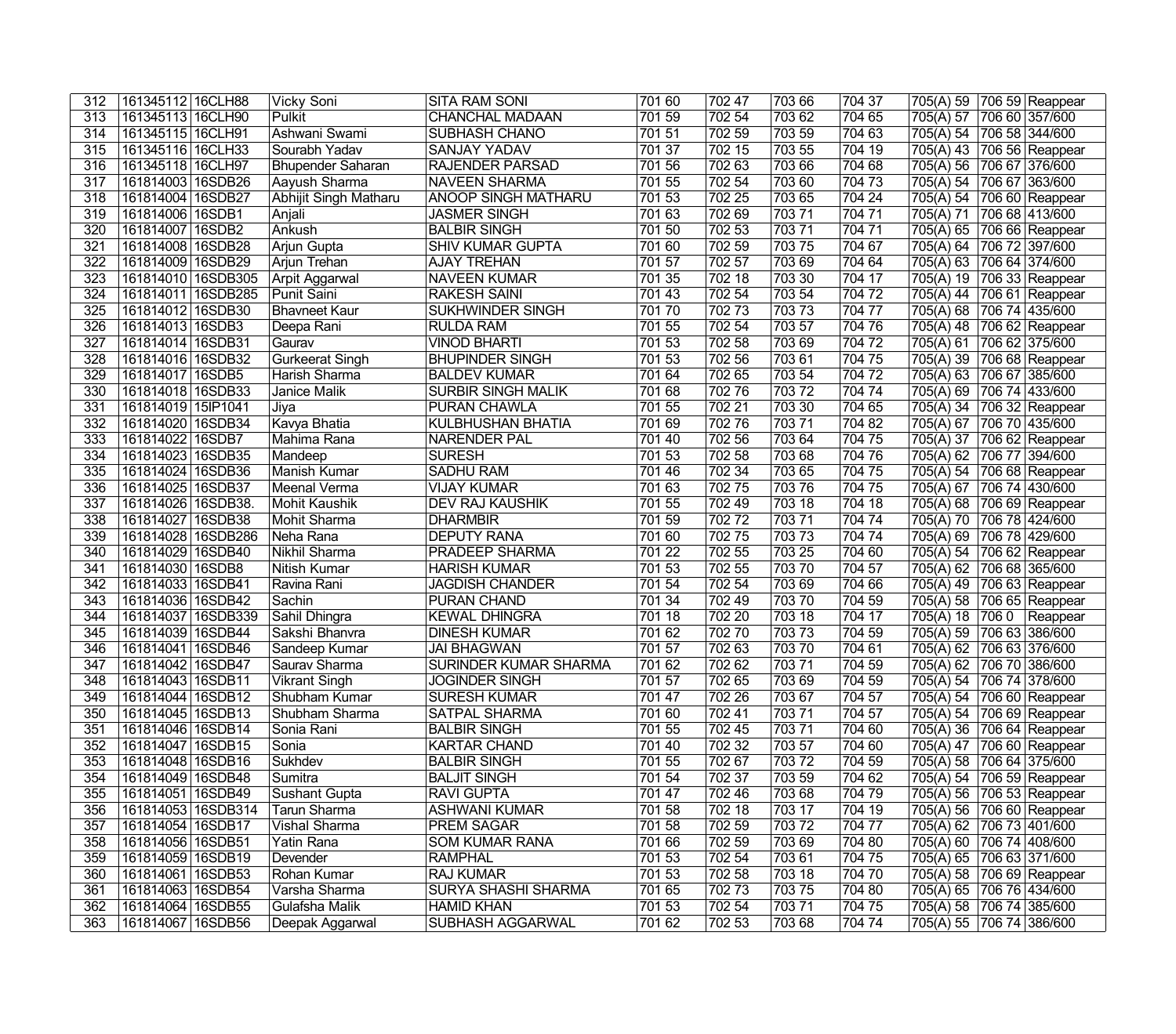| 312              | 161345112 16CLH88    | Vicky Soni            | <b>SITA RAM SONI</b>                      | 701 60         | 702 47           | 703 66 | 704 37 | 705(A) 59                              | 706 59 Reappear                |
|------------------|----------------------|-----------------------|-------------------------------------------|----------------|------------------|--------|--------|----------------------------------------|--------------------------------|
| 313              | 161345113 16CLH90    | Pulkit                | <b>CHANCHAL MADAAN</b>                    | 701 59         | 702 54           | 703 62 | 704 65 | 705(A) 57                              | 706 60 357/600                 |
| 314              | 161345115 16CLH91    | Ashwani Swami         | SUBHASH CHANO                             | 701 51         | 702 59           | 703 59 | 704 63 | 705(A) 54                              | 706 58 344/600                 |
| 315              | 161345116 16CLH33    | Sourabh Yadav         | SANJAY YADAV                              | 701 37         | 702 15           | 703 55 | 704 19 | 705(A) 43                              | 706 56 Reappear                |
| 316              | 161345118 16CLH97    | Bhupender Saharan     | <b>RAJENDER PARSAD</b>                    | 701 56         | 70263            | 703 66 | 704 68 | 705(A) 56                              | 706 67 376/600                 |
| 317              | 161814003 16SDB26    | Aayush Sharma         | <b>NAVEEN SHARMA</b>                      | 701 55         | 702 54           | 703 60 | 704 73 | 705(A) 54                              | 706 67 363/600                 |
| 318              | 161814004 16SDB27    | Abhijit Singh Matharu | <b>ANOOP SINGH MATHARU</b>                | 701 53         | 702 25           | 703 65 | 704 24 | 705(A) 54                              | 706 60 Reappear                |
| 319              | 161814006 16SDB1     | Anjali                | <b>JASMER SINGH</b>                       | 701 63         | 702 69           | 70371  | 704 71 | 705(A) 71                              | 706 68 413/600                 |
| 320              | 161814007   16SDB2   | Ankush                | <b>BALBIR SINGH</b>                       | 701 50         | 702 53           | 703 71 | 704 71 | 705(A) 65                              | 706 66 Reappear                |
| 321              | 161814008 16SDB28    | Arjun Gupta           | <b>SHIV KUMAR GUPTA</b>                   | 701 60         | 702 59           | 703 75 | 704 67 | $\sqrt{705(A)}$ 64                     | 706 72 397/600                 |
| 322              | 161814009 16SDB29    | Arjun Trehan          | <b>AJAY TREHAN</b>                        | 701 57         | 702 57           | 70369  | 704 64 | 705(A) 63                              | 706 64 374/600                 |
| 323              | 161814010 16SDB305   | Arpit Aggarwal        | <b>NAVEEN KUMAR</b>                       | 701 35         | 702 18           | 703 30 | 704 17 | 705(A) 19                              | 706 33 Reappear                |
| 324              | 161814011 16SDB285   | <b>Punit Saini</b>    | <b>RAKESH SAINI</b>                       | 701 43         | 702 54           | 703 54 | 70472  | 705(A) 44                              | 706 61 Reappear                |
| 325              | 161814012 16SDB30    | Bhavneet Kaur         | <b>SUKHWINDER SINGH</b>                   | 70170          | 70273            | 70373  | 704 77 | 705(A) 68                              | 706 74 435/600                 |
| 326              | 161814013 16SDB3     | Deepa Rani            | <b>RULDA RAM</b>                          | 701 55         | 702 54           | 703 57 | 704 76 | 705(A) 48                              | 706 62 Reappear                |
| 327              | 161814014 16SDB31    | Gaurav                | <b>VINOD BHARTI</b>                       | 701 53         | 702 58           | 703 69 | 70472  | 705(A) 61                              | 706 62 375/600                 |
| 328              | 161814016 16SDB32    | Gurkeerat Singh       | <b>BHUPINDER SINGH</b>                    | 701 53         | 702 56           | 703 61 | 704 75 | 705(A) 39                              | 706 68 Reappear                |
| 329              | 161814017 16SDB5     | Harish Sharma         | <b>BALDEV KUMAR</b>                       | 701 64         | 702 65           | 703 54 | 70472  | 705(A) 63                              | 706 67 385/600                 |
| 330              | 161814018 16SDB33    | Janice Malik          | <b>SURBIR SINGH MALIK</b>                 | 701 68         | 70276            | 70372  | 704 74 | 705(A) 69                              | 706 74 433/600                 |
| 331              | 161814019 15IP1041   | Jiya                  | <b>PURAN CHAWLA</b>                       | 701 55         | 702 21           | 703 30 | 704 65 | 705(A) 34                              | $\overline{706}$ 32 Reappear   |
| 332              | 161814020 16SDB34    | Kavya Bhatia          | <b>KULBHUSHAN BHATIA</b>                  | 701 69         | 70276            | 70371  | 704 82 | 705(A) 67                              | 706 70 435/600                 |
| $\overline{333}$ | 161814022 16SDB7     | Mahima Rana           | <b>NARENDER PAL</b>                       | 701 40         | 702 56           | 703 64 | 704 75 | 705(A) 37                              | 706 62 Reappear                |
| $\overline{334}$ | 161814023 16SDB35    | Mandeep               | <b>SURESH</b>                             | 701 53         | 702 58           | 703 68 | 704 76 | 705(A) 62                              | 706 77 394/600                 |
| $\overline{335}$ | 161814024 16SDB36    | Manish Kumar          | <b>SADHU RAM</b>                          | 701 46         | 702 34           | 703 65 | 704 75 | 705(A) 54                              | $\overline{706}$ 68   Reappear |
| 336              | 161814025 16SDB37    | Meenal Verma          | <b>VIJAY KUMAR</b>                        | 701 63         | 702 75           | 70376  | 704 75 | 705(A) 67                              | 706 74 430/600                 |
| 337              | 161814026 16SDB38.   | Mohit Kaushik         | <b>DEV RAJ KAUSHIK</b>                    | 701 55         | 70249            | 703 18 | 704 18 | 705(A) 68                              | 706 69 Reappear                |
| 338              | 161814027 16SDB38    | Mohit Sharma          | <b>DHARMBIR</b>                           | 701 59         | 70272            | 70371  | 704 74 | 705(A) 70                              | 706 78 424/600                 |
| 339              | 161814028 16SDB286   | Neha Rana             | <b>DEPUTY RANA</b>                        | 701 60         | 70275            | 70373  | 704 74 | 705(A) 69                              | 706 78 429/600                 |
| 340              | 161814029 16SDB40    | Nikhil Sharma         | <b>PRADEEP SHARMA</b>                     | 701 22         | 702 55           | 703 25 | 704 60 | 705(A) 54                              | 706 62 Reappear                |
| 341              | 161814030 16SDB8     | Nitish Kumar          | <b>HARISH KUMAR</b>                       | 701 53         | 702 55           | 70370  | 704 57 | 705(A) 62                              | 706 68 365/600                 |
| $\overline{342}$ | 161814033 16SDB41    | Ravina Rani           | <b>JAGDISH CHANDER</b>                    | 701 54         | 702 54           | 70369  | 704 66 | 705(A) 49                              | 706 63 Reappear                |
| $\frac{1}{343}$  | 161814036 16SDB42    | Sachin                | PURAN CHAND                               | 701 34         | 702 49           | 70370  | 704 59 | 705(A) 58                              | 706 65 Reappear                |
| 344              | 161814037   16SDB339 | Sahil Dhingra         | <b>KEWAL DHINGRA</b>                      | 701 18         | 702 20           | 703 18 | 704 17 | 705(A) 18                              | $\overline{7060}$   Reappear   |
| 345              | 161814039 16SDB44    | Sakshi Bhanvra        | <b>DINESH KUMAR</b>                       | 701 62         | 70270            | 70373  | 704 59 | 705(A) 59                              | 706 63 386/600                 |
| 346              | 161814041   16SDB46  | Sandeep Kumar         | <b>JAI BHAGWAN</b>                        | 701 57         | 702 63           | 703 70 | 704 61 | 705(A) 62                              | 706 63 376/600                 |
| 347              | 161814042 16SDB47    | Saurav Sharma         | <b>SURINDER KUMAR SHARMA</b>              | 701 62         | 702 62           | 70371  | 704 59 | 705(A) 62 706 70 386/600               |                                |
| 348              | 161814043 16SDB11    | <b>Vikrant Singh</b>  | <b>JOGINDER SINGH</b>                     | 701 57         | 702 65           | 70369  | 704 59 | 705(A) 54 706 74 378/600               |                                |
| 349              | 161814044 16SDB12    | Shubham Kumar         | <b>SURESH KUMAR</b>                       | 701 47         | 702 26           | 703 67 | 704 57 | 705(A) 54 706 60 Reappear              |                                |
| 350              | 161814045 16SDB13    | Shubham Sharma        | SATPAL SHARMA                             | 701 60         | 702 41           | 70371  | 704 57 | 705(A) 54 706 69 Reappear              |                                |
| 351              | 161814046 16SDB14    | Sonia Rani            | <b>BALBIR SINGH</b>                       | 701 55         | 702 45           | 70371  | 704 60 | 705(A) 36 706 64 Reappear              |                                |
| 352              | 161814047 16SDB15    | Sonia                 | <b>KARTAR CHAND</b>                       | 701 40         | 702 32           | 703 57 | 704 60 | 705(A) 47                              | 706 60 Reappear                |
| 353              | 161814048 16SDB16    | Sukhdev               | <b>BALBIR SINGH</b>                       | 701 55         | 702 67           | 70372  | 704 59 | 705(A) 58                              | 706 64 375/600                 |
| 354              | 161814049   16SDB48  | Sumitra               | <b>BALJIT SINGH</b>                       | 701 54         | 702 37           | 703 59 | 704 62 | 705(A) 54                              | 706 59 Reappear                |
| 355              | 161814051 16SDB49    |                       | <b>RAVI GUPTA</b>                         | 701 47         | 702 46           | 703 68 | 704 79 |                                        |                                |
|                  | 161814053 16SDB314   | Sushant Gupta         |                                           | $\sqrt{701}58$ |                  |        |        | 705(A) 56                              | 706 53 Reappear                |
| 356              |                      | Tarun Sharma          | <b>ASHWANI KUMAR</b><br><b>PREM SAGAR</b> |                | 702 18<br>702 59 | 703 17 | 704 19 | 705(A) 56 706 60 Reappear<br>705(A) 62 |                                |
| 357              | 161814054 16SDB17    | Vishal Sharma         |                                           | 701 58         |                  | 70372  | 704 77 |                                        | 706 73 401/600                 |
| 358              | 161814056 16SDB51    | Yatin Rana            | <b>SOM KUMAR RANA</b>                     | 701 66         | 702 59           | 70369  | 704 80 | 705(A) 60                              | 706 74 408/600                 |
| 359              | 161814059 16SDB19    | Devender              | <b>RAMPHAL</b>                            | 701 53         | 702 54           | 70361  | 704 75 | 705(A) 65 706 63 371/600               |                                |
| 360              | 161814061 16SDB53    | Rohan Kumar           | <b>RAJ KUMAR</b>                          | 701 53         | 702 58           | 703 18 | 704 70 | 705(A) 58                              | 706 69 Reappear                |
| 361              | 161814063 16SDB54    | Varsha Sharma         | <b>SURYA SHASHI SHARMA</b>                | 701 65         | 70273            | 70375  | 704 80 | 705(A) 65                              | 706 76 434/600                 |
| 362              | 161814064 16SDB55    | Gulafsha Malik        | <b>HAMID KHAN</b>                         | 701 53         | 702 54           | 70371  | 704 75 | 705(A) 58                              | 706 74 385/600                 |
| 363              | 161814067 16SDB56    | Deepak Aggarwal       | SUBHASH AGGARWAL                          | 701 62         | 702 53           | 703 68 | 704 74 | 705(A) 55 706 74 386/600               |                                |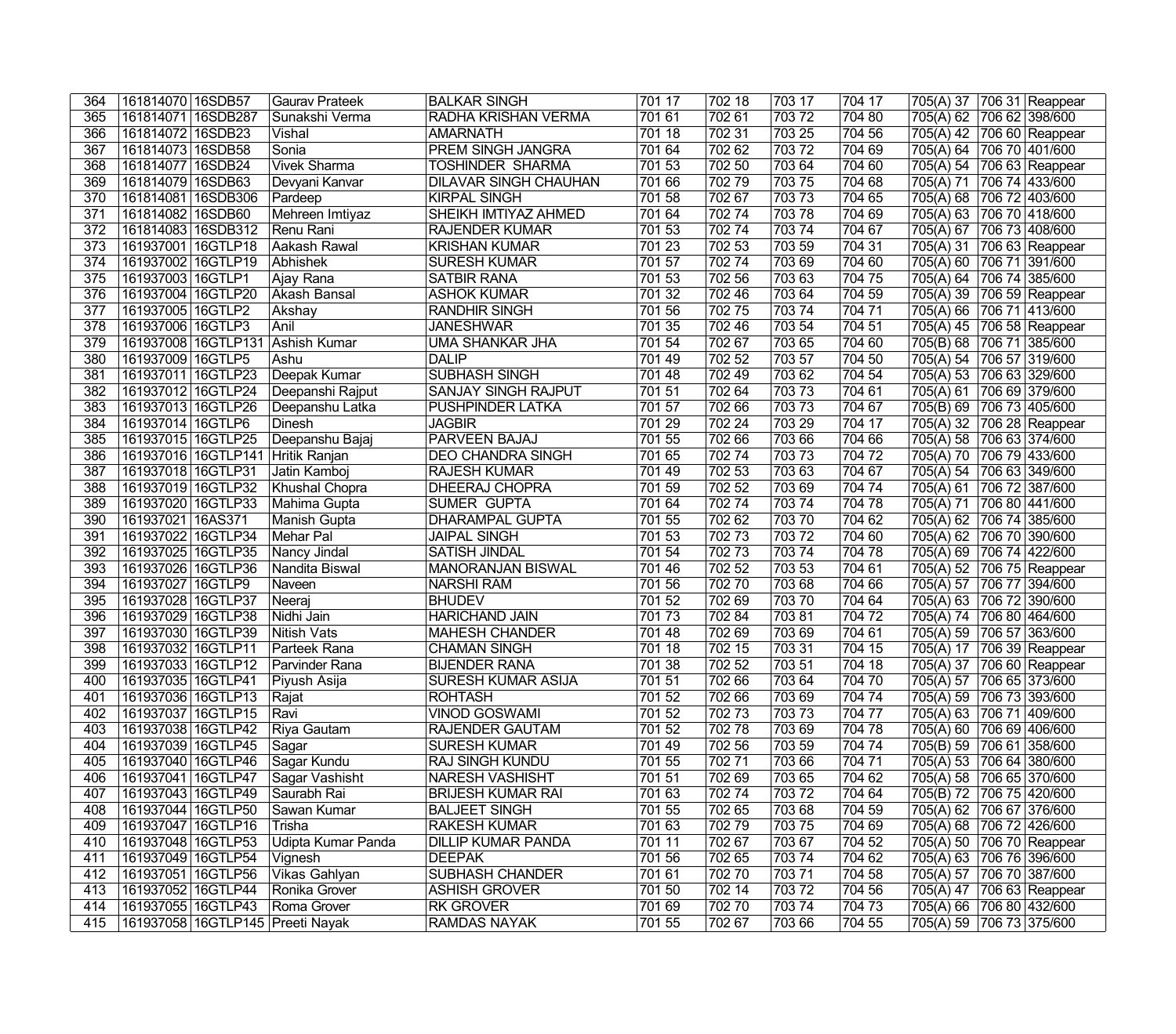| 364              | 161814070 16SDB57                | Gaurav Prateek     | <b>BALKAR SINGH</b>          | 701 17 | 702 18 | 703 17 | 704 17 | 705(A) 37 706 31 Reappear |
|------------------|----------------------------------|--------------------|------------------------------|--------|--------|--------|--------|---------------------------|
| 365              | 161814071 16SDB287               | Sunakshi Verma     | RADHA KRISHAN VERMA          | 701 61 | 702 61 | 70372  | 704 80 | 705(A) 62 706 62 398/600  |
| 366              | 161814072 16SDB23                | Vishal             | <b>AMARNATH</b>              | 701 18 | 702 31 | 703 25 | 704 56 | 705(A) 42 706 60 Reappear |
| 367              | 161814073 16SDB58                | Sonia              | <b>PREM SINGH JANGRA</b>     | 701 64 | 702 62 | 70372  | 704 69 | 705(A) 64 706 70 401/600  |
| 368              | 161814077 16SDB24                | Vivek Sharma       | <b>TOSHINDER SHARMA</b>      | 701 53 | 702 50 | 703 64 | 704 60 | 705(A) 54 706 63 Reappear |
| 369              | 161814079 16SDB63                | Devyani Kanvar     | <b>DILAVAR SINGH CHAUHAN</b> | 701 66 | 70279  | 70375  | 704 68 | 705(A) 71 706 74 433/600  |
| 370              | 161814081 16SDB306               | Pardeep            | <b>KIRPAL SINGH</b>          | 701 58 | 702 67 | 70373  | 704 65 | 705(A) 68 706 72 403/600  |
| $\overline{371}$ | 161814082 16SDB60                | Mehreen Imtiyaz    | SHEIKH IMTIYAZ AHMED         | 701 64 | 70274  | 70378  | 704 69 | 705(A) 63 706 70 418/600  |
| 372              | 161814083 16SDB312               | Renu Rani          | <b>RAJENDER KUMAR</b>        | 701 53 | 70274  | 703 74 | 704 67 | 705(A) 67 706 73 408/600  |
| $\overline{373}$ | 161937001 16GTLP18               | Aakash Rawal       | <b>KRISHAN KUMAR</b>         | 701 23 | 702 53 | 703 59 | 704 31 | 705(A) 31 706 63 Reappear |
| $\overline{374}$ | 161937002 16GTLP19               | Abhishek           | <b>SURESH KUMAR</b>          | 701 57 | 70274  | 703 69 | 704 60 | 705(A) 60 706 71 391/600  |
| 375              | 161937003 16GTLP1                | Ajay Rana          | <b>SATBIR RANA</b>           | 701 53 | 702 56 | 703 63 | 704 75 | 705(A) 64 706 74 385/600  |
| 376              | 161937004 16GTLP20               | Akash Bansal       | <b>ASHOK KUMAR</b>           | 701 32 | 702 46 | 703 64 | 704 59 | 705(A) 39 706 59 Reappear |
| $\overline{377}$ | 161937005 16GTLP2                | Akshay             | <b>RANDHIR SINGH</b>         | 701 56 | 70275  | 70374  | 704 71 | 705(A) 66 706 71 413/600  |
| 378              | 161937006 16GTLP3                | Anil               | <b>JANESHWAR</b>             | 701 35 | 702 46 | 703 54 | 704 51 | 705(A) 45 706 58 Reappear |
| 379              | 161937008 16GTLP131 Ashish Kumar |                    | <b>UMA SHANKAR JHA</b>       | 701 54 | 702 67 | 703 65 | 704 60 | 705(B) 68 706 71 385/600  |
| 380              | 161937009 16GTLP5                | Ashu               | <b>DALIP</b>                 | 701 49 | 702 52 | 70357  | 704 50 | 705(A) 54 706 57 319/600  |
| 381              | 161937011 16GTLP23               | Deepak Kumar       | <b>SUBHASH SINGH</b>         | 701 48 | 702 49 | 703 62 | 704 54 | 705(A) 53 706 63 329/600  |
| 382              | 161937012 16GTLP24               | Deepanshi Rajput   | <b>SANJAY SINGH RAJPUT</b>   | 701 51 | 702 64 | 70373  | 704 61 | 705(A) 61 706 69 379/600  |
| 383              | 161937013 16GTLP26               | Deepanshu Latka    | <b>PUSHPINDER LATKA</b>      | 701 57 | 702 66 | 70373  | 704 67 | 705(B) 69 706 73 405/600  |
| 384              | 161937014 16GTLP6                | Dinesh             | <b>JAGBIR</b>                | 701 29 | 702 24 | 703 29 | 704 17 | 705(A) 32 706 28 Reappear |
| 385              | 161937015 16GTLP25               | Deepanshu Bajaj    | <b>PARVEEN BAJAJ</b>         | 701 55 | 702 66 | 703 66 | 704 66 | 705(A) 58 706 63 374/600  |
| 386              | 161937016 16GTLP141              | Hritik Ranjan      | <b>DEO CHANDRA SINGH</b>     | 701 65 | 70274  | 703 73 | 704 72 | 705(A) 70 706 79 433/600  |
| 387              | 161937018 16GTLP31               | Jatin Kamboj       | <b>RAJESH KUMAR</b>          | 701 49 | 702 53 | 70363  | 704 67 | 705(A) 54 706 63 349/600  |
| 388              | 161937019 16GTLP32               | Khushal Chopra     | DHEERAJ CHOPRA               | 701 59 | 702 52 | 703 69 | 704 74 | 705(A) 61 706 72 387/600  |
| 389              | 161937020 16GTLP33               | Mahima Gupta       | <b>SUMER GUPTA</b>           | 701 64 | 70274  | 70374  | 704 78 | 705(A) 71 706 80 441/600  |
| 390              | 161937021 16AS371                | Manish Gupta       | <b>DHARAMPAL GUPTA</b>       | 701 55 | 702 62 | 70370  | 704 62 | 705(A) 62 706 74 385/600  |
| 391              | 161937022 16GTLP34               | Mehar Pal          | <b>JAIPAL SINGH</b>          | 701 53 | 70273  | 70372  | 704 60 | 705(A) 62 706 70 390/600  |
| 392              | 161937025 16GTLP35               | Nancy Jindal       | <b>SATISH JINDAL</b>         | 701 54 | 70273  | 70374  | 70478  | 705(A) 69 706 74 422/600  |
| 393              | 161937026 16GTLP36               | Nandita Biswal     | <b>MANORANJAN BISWAL</b>     | 701 46 | 702 52 | 703 53 | 704 61 | 705(A) 52 706 75 Reappear |
| 394              | 161937027 16GTLP9                | Naveen             | <b>NARSHI RAM</b>            | 701 56 | 70270  | 70368  | 704 66 | 705(A) 57 706 77 394/600  |
| 395              | 161937028 16GTLP37               | Neeraj             | <b>BHUDEV</b>                | 701 52 | 702 69 | 70370  | 704 64 | 705(A) 63 706 72 390/600  |
| 396              | 161937029 16GTLP38               | Nidhi Jain         | <b>HARICHAND JAIN</b>        | 70173  | 70284  | 70381  | 70472  | 705(A) 74 706 80 464/600  |
| 397              | 161937030 16GTLP39               | Nitish Vats        | <b>MAHESH CHANDER</b>        | 701 48 | 702 69 | 703 69 | 704 61 | 705(A) 59 706 57 363/600  |
| 398              | 161937032 16GTLP11               | Parteek Rana       | <b>CHAMAN SINGH</b>          | 701 18 | 702 15 | 703 31 | 704 15 | 705(A) 17 706 39 Reappear |
| 399              | 161937033 16GTLP12               | Parvinder Rana     | <b>BIJENDER RANA</b>         | 701 38 | 702 52 | 703 51 | 704 18 | 705(A) 37 706 60 Reappear |
| 400              | 161937035 16GTLP41 Piyush Asija  |                    | <b>SURESH KUMAR ASIJA</b>    | 701 51 | 702 66 | 703 64 | 704 70 | 705(A) 57 706 65 373/600  |
| 401              | 161937036 16GTLP13               | ∣Rajat             | <b>ROHTASH</b>               | 701 52 | 702 66 | 70369  | 704 74 | 705(A) 59 706 73 393/600  |
| 402              | 161937037 16GTLP15               | Ravi               | <b>VINOD GOSWAMI</b>         | 701 52 | 70273  | 70373  | 704 77 | 705(A) 63 706 71 409/600  |
| 403              | 161937038 16GTLP42               | Riya Gautam        | <b>RAJENDER GAUTAM</b>       | 701 52 | 70278  | 703 69 | 704 78 | 705(A) 60 706 69 406/600  |
| 404              | 161937039 16GTLP45               | Sagar              | <b>SURESH KUMAR</b>          | 701 49 | 702 56 | 703 59 | 704 74 | 705(B) 59 706 61 358/600  |
| 405              | 161937040 16GTLP46               | Sagar Kundu        | <b>RAJ SINGH KUNDU</b>       | 701 55 | 70271  | 703 66 | 704 71 | 705(A) 53 706 64 380/600  |
| 406              | 161937041 16GTLP47               | Sagar Vashisht     | <b>NARESH VASHISHT</b>       | 701 51 | 702 69 | 703 65 | 704 62 | 705(A) 58 706 65 370/600  |
| 407              | 161937043 16GTLP49               | Saurabh Rai        | <b>BRIJESH KUMAR RAI</b>     | 701 63 | 70274  | 70372  | 704 64 | 705(B) 72 706 75 420/600  |
| 408              | 161937044 16GTLP50               | Sawan Kumar        | <b>BALJEET SINGH</b>         | 701 55 | 702 65 | 703 68 | 704 59 | 705(A) 62 706 67 376/600  |
| 409              | 161937047 16GTLP16               | ∣Trisha            | <b>RAKESH KUMAR</b>          | 701 63 | 70279  | 703 75 | 704 69 | 705(A) 68 706 72 426/600  |
| 410              | 161937048 16GTLP53               | Udipta Kumar Panda | <b>DILLIP KUMAR PANDA</b>    | 701 11 | 702 67 | 703 67 | 704 52 | 705(A) 50 706 70 Reappear |
| 411              | 161937049 16GTLP54               | Vignesh            | <b>DEEPAK</b>                | 701 56 | 702 65 | 703 74 | 704 62 | 705(A) 63 706 76 396/600  |
| 412              | 161937051 16GTLP56               | Vikas Gahlyan      | <b>SUBHASH CHANDER</b>       | 701 61 | 70270  | 70371  | 704 58 | 705(A) 57 706 70 387/600  |
| 413              | 161937052 16GTLP44               | Ronika Grover      | <b>ASHISH GROVER</b>         | 701 50 | 702 14 | 70372  | 704 56 | 705(A) 47 706 63 Reappear |
| 414              | 161937055 16GTLP43               | Roma Grover        | <b>RK GROVER</b>             | 701 69 | 70270  | 70374  | 704 73 | 705(A) 66 706 80 432/600  |
| 415              | 161937058 16GTLP145 Preeti Nayak |                    | <b>RAMDAS NAYAK</b>          | 701 55 | 702 67 | 703 66 | 704 55 | 705(A) 59 706 73 375/600  |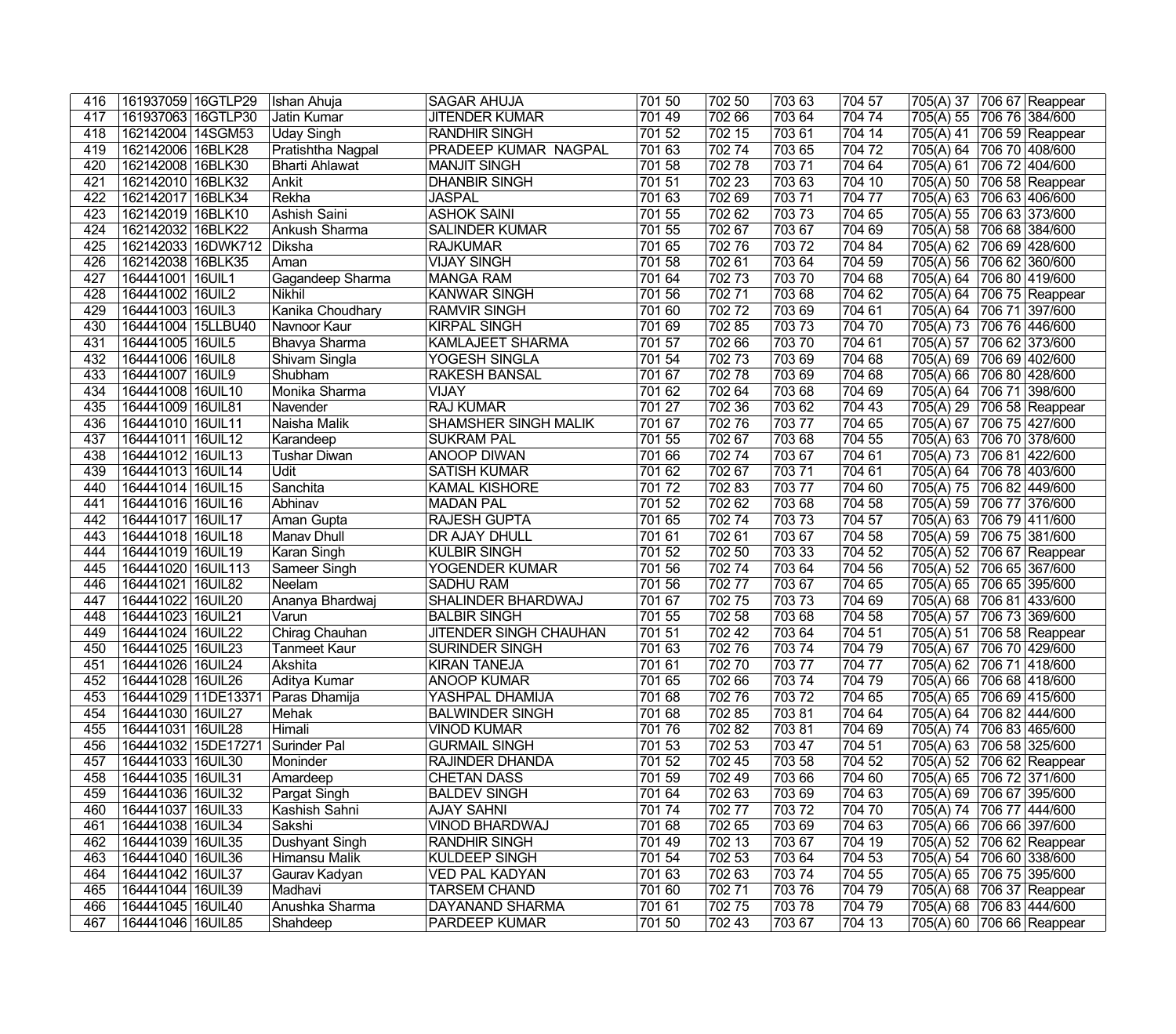| 416 | 161937059 16GTLP29  | Ishan Ahuja                 | SAGAR AHUJA             | 701 50 | 702 50 | 70363  | 704 57 | 705(A) 37 706 67 Reappear |                 |
|-----|---------------------|-----------------------------|-------------------------|--------|--------|--------|--------|---------------------------|-----------------|
| 417 | 161937063 16GTLP30  | Jatin Kumar                 | <b>JITENDER KUMAR</b>   | 701 49 | 702 66 | 703 64 | 704 74 | 705(A) 55                 | 706 76 384/600  |
| 418 | 162142004 14SGM53   | <b>Uday Singh</b>           | <b>RANDHIR SINGH</b>    | 701 52 | 702 15 | 70361  | 704 14 | 705(A) 41                 | 706 59 Reappear |
| 419 | 162142006 16BLK28   | Pratishtha Nagpal           | PRADEEP KUMAR NAGPAL    | 701 63 | 70274  | 703 65 | 70472  | 705(A) 64                 | 706 70 408/600  |
| 420 | 162142008 16BLK30   | <b>Bharti Ahlawat</b>       | <b>MANJIT SINGH</b>     | 70158  | 70278  | 70371  | 704 64 | 705(A) 61                 | 706 72 404/600  |
| 421 | 162142010 16BLK32   | Ankit                       | <b>DHANBIR SINGH</b>    | 701 51 | 702 23 | 703 63 | 704 10 | 705(A) 50                 | 706 58 Reappear |
| 422 | 162142017 16BLK34   | Rekha                       | <b>JASPAL</b>           | 701 63 | 702 69 | 70371  | 704 77 | 705(A) 63                 | 706 63 406/600  |
| 423 | 162142019 16BLK10   | Ashish Saini                | <b>ASHOK SAINI</b>      | 701 55 | 702 62 | 70373  | 704 65 | 705(A) 55                 | 706 63 373/600  |
| 424 | 162142032 16BLK22   | Ankush Sharma               | <b>SALINDER KUMAR</b>   | 701 55 | 702 67 | 703 67 | 704 69 | 705(A) 58                 | 706 68 384/600  |
| 425 | 162142033 16DWK712  | Diksha                      | RAJKUMAR                | 701 65 | 70276  | 70372  | 704 84 | 705(A) 62                 | 706 69 428/600  |
| 426 | 162142038 16BLK35   | Aman                        | <b>VIJAY SINGH</b>      | 701 58 | 70261  | 703 64 | 704 59 | 705(A) 56                 | 706 62 360/600  |
| 427 | 164441001 16UIL1    | Gagandeep Sharma            | MANGA RAM               | 701 64 | 70273  | 703 70 | 704 68 | 705(A) 64                 | 706 80 419/600  |
| 428 | 164441002 16UIL2    | Nikhil                      | KANWAR SINGH            | 701 56 | 702 71 | 70368  | 704 62 | 705(A) 64                 | 706 75 Reappear |
| 429 | 164441003 16UIL3    | Kanika Choudhary            | <b>RAMVIR SINGH</b>     | 701 60 | 70272  | 70369  | 704 61 | 705(A) 64                 | 706 71 397/600  |
| 430 | 164441004 15LLBU40  | Navnoor Kaur                | <b>KIRPAL SINGH</b>     | 701 69 | 702 85 | 70373  | 704 70 | 705(A) 73                 | 706 76 446/600  |
| 431 | 164441005 16UIL5    | Bhavya Sharma               | <b>KAMLAJEET SHARMA</b> | 701 57 | 702 66 | 70370  | 704 61 | 705(A) 57                 | 706 62 373/600  |
| 432 | 164441006 16UIL8    | Shivam Singla               | <b>YOGESH SINGLA</b>    | 701 54 | 70273  | 703 69 | 704 68 | 705(A) 69                 | 706 69 402/600  |
| 433 | 164441007 16UIL9    | Shubham                     | <b>RAKESH BANSAL</b>    | 701 67 | 70278  | 703 69 | 704 68 | 705(A) 66                 | 706 80 428/600  |
| 434 | 164441008 16UIL10   | Monika Sharma               | <b>VIJAY</b>            | 701 62 | 702 64 | 703 68 | 704 69 | 705(A) 64                 | 706 71 398/600  |
| 435 | 164441009 16UIL81   | Navender                    | <b>RAJ KUMAR</b>        | 701 27 | 702 36 | 703 62 | 704 43 | 705(A) 29                 | 706 58 Reappear |
| 436 | 164441010 16UIL11   | Naisha Malik                | SHAMSHER SINGH MALIK    | 701 67 | 70276  | 703 77 | 704 65 | 705(A) 67                 | 706 75 427/600  |
| 437 | 164441011 16UIL12   |                             | <b>SUKRAM PAL</b>       | 701 55 | 702 67 | 703 68 | 704 55 | 705(A) 63                 | 706 70 378/600  |
| 438 | 164441012 16UIL13   | Karandeep                   | <b>ANOOP DIWAN</b>      | 701 66 | 70274  |        | 704 61 |                           |                 |
| 439 |                     | <b>Tushar Diwan</b><br>Udit |                         | 701 62 | 702 67 | 703 67 |        | 705(A) 73                 | 706 81 422/600  |
|     | 164441013 16UIL14   |                             | <b>SATISH KUMAR</b>     |        |        | 70371  | 704 61 | 705(A) 64                 | 706 78 403/600  |
| 440 | 164441014 16UIL15   | Sanchita                    | <b>KAMAL KISHORE</b>    | 70172  | 70283  | 703 77 | 704 60 | 705(A) 75                 | 706 82 449/600  |
| 441 | 164441016 16UIL16   | Abhinav                     | <b>MADAN PAL</b>        | 701 52 | 702 62 | 70368  | 704 58 | 705(A) 59                 | 706 77 376/600  |
| 442 | 164441017   16UIL17 | Aman Gupta                  | <b>RAJESH GUPTA</b>     | 701 65 | 70274  | 70373  | 704 57 | 705(A) 63                 | 706 79 411/600  |
| 443 | 164441018 16UIL18   | Manav Dhull                 | DR AJAY DHULL           | 70161  | 70261  | 703 67 | 704 58 | 705(A) 59                 | 706 75 381/600  |
| 444 | 164441019 16UIL19   | Karan Singh                 | <b>KULBIR SINGH</b>     | 701 52 | 702 50 | 703 33 | 704 52 | 705(A) 52                 | 706 67 Reappear |
| 445 | 164441020 16UIL113  | Sameer Singh                | YOGENDER KUMAR          | 701 56 | 70274  | 703 64 | 704 56 | 705(A) 52                 | 706 65 367/600  |
| 446 | 164441021   16UIL82 | Neelam                      | <b>SADHU RAM</b>        | 701 56 | 70277  | 70367  | 704 65 | 705(A) 65                 | 706 65 395/600  |
| 447 | 164441022 16UIL20   | Ananya Bhardwaj             | SHALINDER BHARDWAJ      | 701 67 | 70275  | 70373  | 704 69 | 705(A) 68                 | 706 81 433/600  |
| 448 | 164441023 16UIL21   | Varun                       | <b>BALBIR SINGH</b>     | 701 55 | 702 58 | 70368  | 704 58 | 705(A) 57                 | 706 73 369/600  |
| 449 | 164441024 16UIL22   | Chirag Chauhan              | JITENDER SINGH CHAUHAN  | 701 51 | 702 42 | 703 64 | 704 51 | 705(A) 51                 | 706 58 Reappear |
| 450 | 164441025 16UIL23   | <b>Tanmeet Kaur</b>         | SURINDER SINGH          | 701 63 | 70276  | 70374  | 70479  | 705(A) 67                 | 706 70 429/600  |
| 451 | 164441026 16UIL24   | Akshita                     | <b>KIRAN TANEJA</b>     | 70161  | 70270  | 703 77 | 704 77 | 705(A) 62 706 71 418/600  |                 |
| 452 | 164441028 16UIL26   | Aditya Kumar                | <b>ANOOP KUMAR</b>      | 701 65 | 702 66 | 70374  | 704 79 | 705(A) 66 706 68 418/600  |                 |
| 453 | 164441029 11DE13371 | Paras Dhamija               | YASHPAL DHAMIJA         | 701 68 | 702 76 | 70372  | 704 65 | 705(A) 65 706 69 415/600  |                 |
| 454 | 164441030 16UIL27   | Mehak                       | <b>BALWINDER SINGH</b>  | 701 68 | 702 85 | 70381  | 704 64 | 705(A) 64 706 82 444/600  |                 |
| 455 | 164441031 16UIL28   | Himali                      | <b>VINOD KUMAR</b>      | 70176  | 70282  | 70381  | 704 69 | 705(A) 74 706 83 465/600  |                 |
| 456 | 164441032 15DE17271 | Surinder Pal                | <b>GURMAIL SINGH</b>    | 701 53 | 702 53 | 703 47 | 704 51 | 705(A) 63 706 58 325/600  |                 |
| 457 | 164441033 16UIL30   | Moninder                    | <b>RAJINDER DHANDA</b>  | 701 52 | 702 45 | 703 58 | 704 52 | 705(A) 52                 | 706 62 Reappear |
| 458 | 164441035 16UIL31   | Amardeep                    | <b>CHETAN DASS</b>      | 701 59 | 702 49 | 703 66 | 704 60 | 705(A) 65                 | 706 72 371/600  |
| 459 | 164441036 16UIL32   | Pargat Singh                | <b>BALDEV SINGH</b>     | 701 64 | 702 63 | 70369  | 704 63 | 705(A) 69                 | 706 67 395/600  |
| 460 | 164441037   16UIL33 | Kashish Sahni               | <b>AJAY SAHNI</b>       | 70174  | 70277  | 70372  | 704 70 | 705(A) 74                 | 706 77 444/600  |
| 461 | 164441038 16UIL34   | Sakshi                      | <b>VINOD BHARDWAJ</b>   | 701 68 | 702 65 | 70369  | 704 63 | 705(A) 66 706 66 397/600  |                 |
| 462 | 164441039 16UIL35   | Dushyant Singh              | <b>RANDHIR SINGH</b>    | 70149  | 702 13 | 70367  | 704 19 | 705(A) 52                 | 706 62 Reappear |
| 463 | 164441040 16UIL36   | Himansu Malik               | <b>KULDEEP SINGH</b>    | 701 54 | 702 53 | 703 64 | 704 53 | 705(A) 54                 | 706 60 338/600  |
| 464 | 164441042 16UIL37   | Gaurav Kadyan               | <b>VED PAL KADYAN</b>   | 701 63 | 70263  | 70374  | 704 55 | 705(A) 65 706 75 395/600  |                 |
| 465 | 164441044 16UIL39   | Madhavi                     | <b>TARSEM CHAND</b>     | 701 60 | 70271  | 70376  | 70479  | 705(A) 68                 | 706 37 Reappear |
| 466 | 164441045 16UIL40   | Anushka Sharma              | DAYANAND SHARMA         | 701 61 | 70275  | 70378  | 704 79 | 705(A) 68                 | 706 83 444/600  |
| 467 | 164441046 16UIL85   | Shahdeep                    | <b>PARDEEP KUMAR</b>    | 701 50 | 702 43 | 703 67 | 704 13 | 705(A) 60 706 66 Reappear |                 |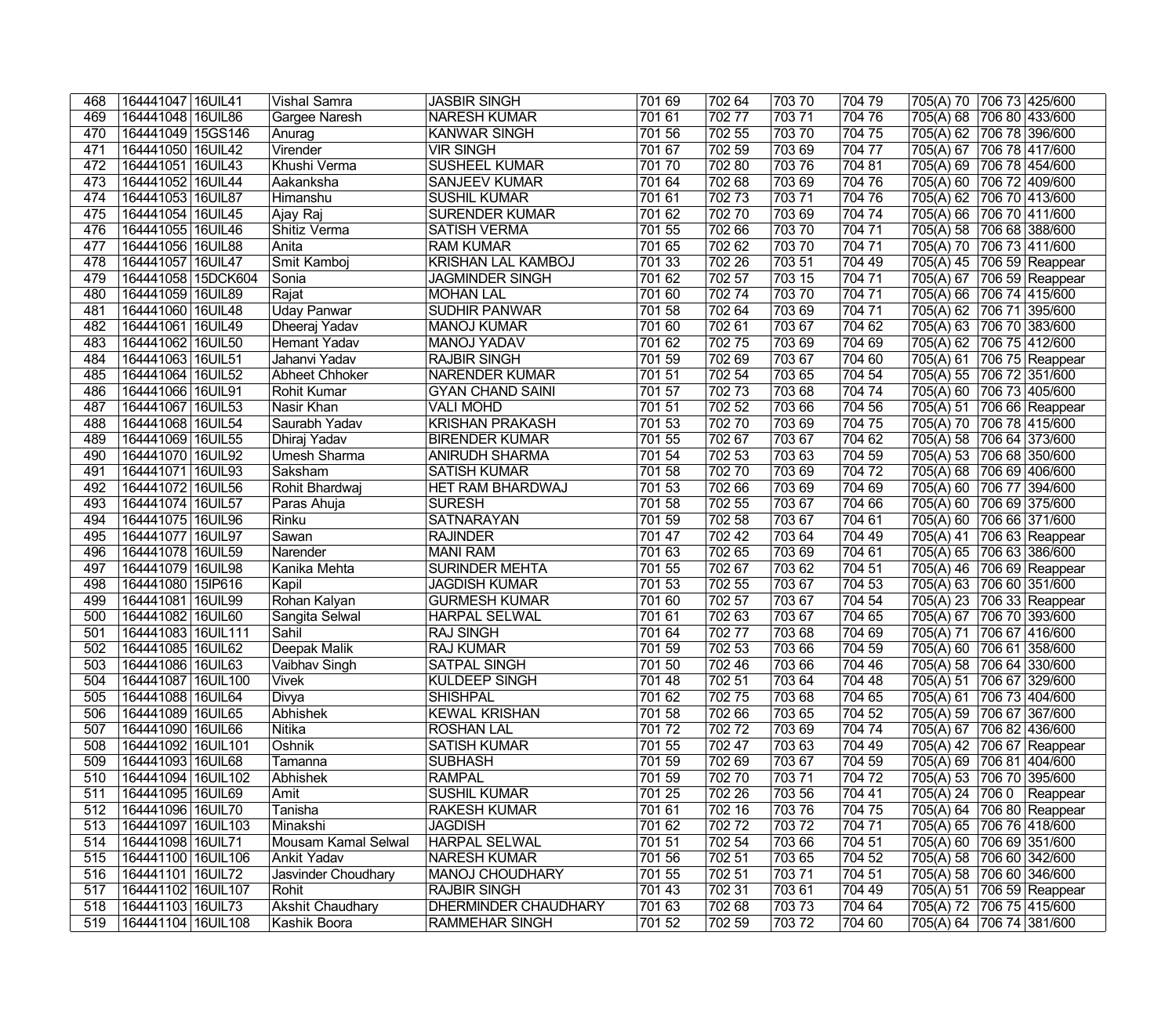| 468 | 164441047   16UIL41  | Vishal Samra            | <b>JASBIR SINGH</b>         | 701 69 | 702 64 | 703 70 | 704 79 | 705(A) 70<br>706 73 425/600           |  |
|-----|----------------------|-------------------------|-----------------------------|--------|--------|--------|--------|---------------------------------------|--|
| 469 | 164441048 16UIL86    | Gargee Naresh           | <b>NARESH KUMAR</b>         | 701 61 | 70277  | 70371  | 704 76 | 705(A) 68<br>706 80 433/600           |  |
| 470 | 164441049   15GS146  | Anurag                  | <b>KANWAR SINGH</b>         | 701 56 | 702 55 | 70370  | 704 75 | 705(A) 62<br>706 78 396/600           |  |
| 471 | 164441050 16UIL42    | Virender                | <b>VIR SINGH</b>            | 701 67 | 702 59 | 703 69 | 704 77 | 706 78 417/600<br>705(A) 67           |  |
| 472 | 164441051 16UIL43    | Khushi Verma            | <b>SUSHEEL KUMAR</b>        | 70170  | 70280  | 70376  | 704 81 | 705(A) 69<br>706 78 454/600           |  |
| 473 | 164441052 16UIL44    | Aakanksha               | <b>SANJEEV KUMAR</b>        | 701 64 | 702 68 | 703 69 | 704 76 | 706 72 409/600<br>705(A) 60           |  |
| 474 | 164441053 16UIL87    | Himanshu                | <b>SUSHIL KUMAR</b>         | 701 61 | 70273  | 70371  | 704 76 | 706 70 413/600<br>705(A) 62           |  |
| 475 | 164441054 16UIL45    | Ajay Raj                | <b>SURENDER KUMAR</b>       | 701 62 | 702 70 | 703 69 | 704 74 | 706 70 411/600<br>705(A) 66           |  |
| 476 | 164441055 16UIL46    | Shitiz Verma            | <b>SATISH VERMA</b>         | 701 55 | 702 66 | 70370  | 704 71 | 705(A) 58 706 68 388/600              |  |
| 477 | 164441056 16UIL88    | Anita                   | <b>RAM KUMAR</b>            | 701 65 | 702 62 | 703 70 | 704 71 | 705(A) 70<br>706 73 411/600           |  |
| 478 | 164441057 16UIL47    | Smit Kamboj             | <b>KRISHAN LAL KAMBOJ</b>   | 701 33 | 702 26 | 703 51 | 704 49 | 705(A) 45<br>$\sqrt{706}$ 59 Reappear |  |
| 479 | 164441058 15DCK604   | Sonia                   | <b>JAGMINDER SINGH</b>      | 701 62 | 702 57 | 703 15 | 704 71 | 705(A) 67<br>706 59 Reappear          |  |
| 480 | 164441059 16UIL89    | Rajat                   | MOHAN LAL                   | 701 60 | 70274  | 70370  | 704 71 | 706 74 415/600<br>705(A) 66           |  |
| 481 | 164441060 16UIL48    | Uday Panwar             | <b>SUDHIR PANWAR</b>        | 701 58 | 702 64 | 703 69 | 704 71 | 705(A) 62<br>706 71 395/600           |  |
| 482 | 164441061   16UIL49  | Dheeraj Yadav           | <b>MANOJ KUMAR</b>          | 701 60 | 702 61 | 703 67 | 704 62 | 705(A) 63<br>706 70 383/600           |  |
| 483 | 164441062 16UIL50    | Hemant Yadav            | <b>MANOJ YADAV</b>          | 701 62 | 70275  | 703 69 | 704 69 | 705(A) 62<br>706 75 412/600           |  |
| 484 | 164441063 16UIL51    | Jahanvi Yadav           | <b>RAJBIR SINGH</b>         | 701 59 | 702 69 | 703 67 | 704 60 | 705(A) 61<br>706 75 Reappear          |  |
| 485 | 164441064 16UIL52    | Abheet Chhoker          | <b>NARENDER KUMAR</b>       | 701 51 | 702 54 | 703 65 | 704 54 | 705(A) 55<br>706 72 351/600           |  |
| 486 | 164441066 16UIL91    | <b>Rohit Kumar</b>      | <b>GYAN CHAND SAINI</b>     | 701 57 | 70273  | 703 68 | 704 74 | 705(A) 60<br>706 73 405/600           |  |
| 487 | 164441067 16UIL53    | Nasir Khan              | <b>VALI MOHD</b>            | 701 51 | 702 52 | 703 66 | 704 56 | 705(A) 51<br>706 66 Reappear          |  |
| 488 | 164441068 16UIL54    | Saurabh Yadav           | <b>KRISHAN PRAKASH</b>      | 701 53 | 70270  | 703 69 | 704 75 | 705(A) 70<br>706 78 415/600           |  |
| 489 | 164441069 16UIL55    | Dhiraj Yadav            | <b>BIRENDER KUMAR</b>       | 701 55 | 702 67 | 703 67 | 704 62 | 705(A) 58<br>706 64 373/600           |  |
| 490 | 164441070 16UIL92    | <b>Umesh Sharma</b>     | ANIRUDH SHARMA              | 701 54 | 702 53 | 703 63 | 704 59 | 705(A) 53<br>706 68 350/600           |  |
| 491 | 164441071   16UIL93  | Saksham                 | <b>SATISH KUMAR</b>         | 701 58 | 702 70 | 703 69 | 704 72 | 705(A) 68<br>706 69 406/600           |  |
| 492 | 164441072 16UIL56    | Rohit Bhardwaj          | <b>HET RAM BHARDWAJ</b>     | 701 53 | 702 66 | 703 69 | 704 69 | 705(A) 60<br>706 77 394/600           |  |
| 493 | 164441074 16UIL57    | Paras Ahuja             | <b>SURESH</b>               | 701 58 | 702 55 | 703 67 | 704 66 | 705(A) 60<br>706 69 375/600           |  |
| 494 | 164441075 16UIL96    | Rinku                   | <b>SATNARAYAN</b>           | 701 59 | 702 58 | 703 67 | 704 61 | 706 66 371/600<br>705(A) 60           |  |
| 495 | 164441077 16UIL97    | Sawan                   | <b>RAJINDER</b>             | 701 47 | 702 42 | 703 64 | 704 49 | 705(A) 41<br>706 63 Reappear          |  |
| 496 | 164441078 16UIL59    | Narender                | <b>MANI RAM</b>             | 701 63 | 702 65 | 703 69 | 704 61 | 705(A) 65<br>706 63 386/600           |  |
| 497 | 164441079 16UIL98    | Kanika Mehta            | <b>SURINDER MEHTA</b>       | 701 55 | 702 67 | 703 62 | 704 51 | 705(A) 46<br>706 69 Reappear          |  |
| 498 | 164441080 15IP616    | Kapil                   | <b>JAGDISH KUMAR</b>        | 701 53 | 702 55 | 703 67 | 704 53 | 706 60 351/600<br>705(A) 63           |  |
| 499 | 164441081   16UIL99  | Rohan Kalyan            | <b>GURMESH KUMAR</b>        | 701 60 | 702 57 | 703 67 | 704 54 | 706 33 Reappear<br>705(A) 23          |  |
| 500 | 164441082 16UIL60    | Sangita Selwal          | <b>HARPAL SELWAL</b>        | 701 61 | 702 63 | 703 67 | 704 65 | 705(A) 67<br>706 70 393/600           |  |
| 501 | 164441083 16UIL111   | Sahil                   | <b>RAJ SINGH</b>            | 701 64 | 70277  | 703 68 | 704 69 | 706 67 416/600<br>705(A) 71           |  |
| 502 | 164441085 16UIL62    | Deepak Malik            | <b>RAJ KUMAR</b>            | 701 59 | 702 53 | 703 66 | 704 59 | 706 61 358/600<br>705(A) 60           |  |
| 503 | 164441086 16UIL63    | Vaibhav Singh           | <b>SATPAL SINGH</b>         | 701 50 | 702 46 | 703 66 | 704 46 | 705(A) 58 706 64 330/600              |  |
| 504 | 164441087 16UIL100   | <b>Vivek</b>            | KULDEEP SINGH               | 70148  | 702 51 | 70364  | 704 48 | 705(A) 51 706 67 329/600              |  |
| 505 | 164441088 16UIL64    | Divya                   | <b>SHISHPAL</b>             | 701 62 | 70275  | 703 68 | 704 65 | 706 73 404/600<br>705(A) 61           |  |
| 506 | 164441089 16UIL65    | Abhishek                | <b>KEWAL KRISHAN</b>        | 701 58 | 702 66 | 703 65 | 704 52 | 705(A) 59<br>706 67 367/600           |  |
| 507 | 164441090 16UIL66    | Nitika                  | <b>ROSHAN LAL</b>           | 70172  | 70272  | 703 69 | 704 74 | 705(A) 67<br>706 82 436/600           |  |
| 508 | 164441092 16UIL101   | Oshnik                  | <b>SATISH KUMAR</b>         | 701 55 | 702 47 | 703 63 | 704 49 | 705(A) 42 706 67 Reappear             |  |
| 509 | 164441093 16UIL68    | Tamanna                 | <b>SUBHASH</b>              | 701 59 | 702 69 | 703 67 | 704 59 | 705(A) 69 706 81 404/600              |  |
| 510 | 164441094   16UIL102 | Abhishek                | RAMPAL                      | 701 59 | 702 70 | 703 71 | 704 72 | 705(A) 53 706 70 395/600              |  |
| 511 | 164441095   16UIL69  | Amit                    | <b>SUSHIL KUMAR</b>         | 701 25 | 702 26 | 703 56 | 704 41 | 705(A) 24 706 0 Reappear              |  |
| 512 | 164441096 16UIL70    | Tanisha                 | <b>RAKESH KUMAR</b>         | 701 61 | 702 16 | 70376  | 704 75 | 705(A) 64 706 80 Reappear             |  |
| 513 | 164441097   16UIL103 | Minakshi                | <b>JAGDISH</b>              | 701 62 | 70272  | 70372  | 704 71 | 705(A) 65<br>706 76 418/600           |  |
| 514 | 164441098 16UIL71    | Mousam Kamal Selwal     | <b>HARPAL SELWAL</b>        | 701 51 | 702 54 | 703 66 | 704 51 | 705(A) 60<br>706 69 351/600           |  |
| 515 | 164441100 16UIL106   | Ankit Yadav             | <b>NARESH KUMAR</b>         | 701 56 | 702 51 | 703 65 | 704 52 | 705(A) 58 706 60 342/600              |  |
| 516 | 164441101 16UIL72    | Jasvinder Choudhary     | <b>MANOJ CHOUDHARY</b>      | 701 55 | 702 51 | 70371  | 704 51 | 705(A) 58 706 60 346/600              |  |
| 517 | 164441102 16UIL107   | Rohit                   | <b>RAJBIR SINGH</b>         | 701 43 | 702 31 | 703 61 | 704 49 | 705(A) 51<br>706 59 Reappear          |  |
| 518 | 164441103 16UIL73    | <b>Akshit Chaudhary</b> | <b>DHERMINDER CHAUDHARY</b> | 701 63 | 702 68 | 70373  | 704 64 | 705(A) 72<br>706 75 415/600           |  |
| 519 | 164441104 16UIL108   | Kashik Boora            | <b>RAMMEHAR SINGH</b>       | 701 52 | 702 59 | 70372  | 704 60 | 705(A) 64<br>706 74 381/600           |  |